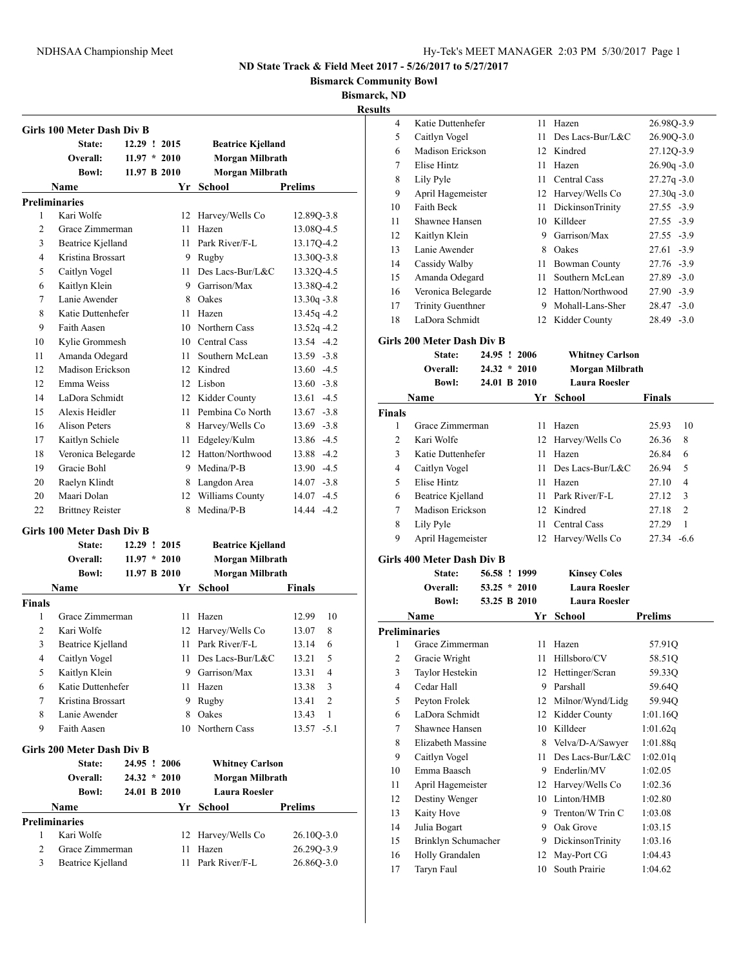**Bismarck Community Bowl**

**Bismarck, ND**

**Result** 

| State:<br>12.29 ! 2015<br><b>Beatrice Kjelland</b><br>$11.97 * 2010$<br>Overall:<br>Morgan Milbrath<br><b>Morgan Milbrath</b><br><b>Bowl:</b><br>11.97 B 2010<br>Prelims<br>Name<br>Yr School<br><b>Preliminaries</b><br>Kari Wolfe<br>1<br>12 Harvey/Wells Co<br>12.89Q-3.8<br>$\overline{c}$<br>Grace Zimmerman<br>11<br>Hazen<br>3<br><b>Beatrice Kjelland</b><br>11 Park River/F-L<br>4<br>Kristina Brossart<br>9 Rugby<br>5<br>Caitlyn Vogel<br>11 Des Lacs-Bur/L&C<br>Kaitlyn Klein<br>9 Garrison/Max<br>6<br>Lanie Awender<br>7<br>8 Oakes<br>Katie Duttenhefer<br>13.45q-4.2<br>8<br>11 Hazen<br>9<br>Faith Aasen<br>10 Northern Cass<br>$13.52q -4.2$<br>Kylie Grommesh<br>10 Central Cass<br>13.54 -4.2<br>10<br>Southern McLean<br>13.59 -3.8<br>11<br>Amanda Odegard<br>11 -<br>Madison Erickson<br>12 Kindred<br>$13.60 - 4.5$<br>12<br>12<br>Emma Weiss<br>12 Lisbon<br>$13.60 - 3.8$<br>LaDora Schmidt<br>12 Kidder County<br>14<br>$13.61 - 4.5$<br>15<br>Alexis Heidler<br>11 Pembina Co North<br><b>Alison Peters</b><br>8 Harvey/Wells Co<br>16<br>11 Edgeley/Kulm<br>17<br>Kaitlyn Schiele<br>Veronica Belegarde<br>12 Hatton/Northwood<br>18<br>Gracie Bohl<br>9 Medina/P-B<br>13.90 -4.5<br>19<br>20<br>Raelyn Klindt<br>8 Langdon Area<br>$14.07 - 3.8$<br>Maari Dolan<br>Williams County<br>20<br>12<br>$14.07 - 4.5$<br>Medina/P-B<br>22<br>14.44 -4.2<br><b>Brittney Reister</b><br>8<br>Girls 100 Meter Dash Div B<br>State:<br>12.29 ! 2015<br><b>Beatrice Kjelland</b><br>$11.97 * 2010$<br>Morgan Milbrath<br>Overall:<br>11.97 B 2010<br>Morgan Milbrath<br><b>Bowl:</b><br>Yr School<br><b>Name</b><br>Finals<br>1<br>Grace Zimmerman<br>12.99<br>10<br>11<br>Hazen<br>2<br>Kari Wolfe<br>12 Harvey/Wells Co<br>8<br>13.07<br>3<br><b>Beatrice Kjelland</b><br>11<br>Park River/F-L<br>13.14<br>6<br>5<br>4<br>Caitlyn Vogel<br>11 Des Lacs-Bur/L&C<br>13.21<br>5<br>Kaitlyn Klein<br>9 Garrison/Max<br>13.31<br>4<br>Katie Duttenhefer<br>6<br>Hazen<br>13.38<br>11<br>3<br>Kristina Brossart<br>7<br>9.<br>Rugby<br>13.41<br>2<br>Oakes<br>1<br>8<br>Lanie Awender<br>8<br>13.43<br>9<br>Faith Aasen<br>Northern Cass<br>10<br>$13.57 - 5.1$<br>Girls 200 Meter Dash Div B<br><b>Whitney Carlson</b><br>State:<br>24.95 ! 2006<br><b>Morgan Milbrath</b><br>Overall:<br>$24.32 * 2010$<br><b>Laura Roesler</b><br><b>Bowl:</b><br>24.01 B 2010<br><b>Prelims</b><br>Name<br>Yr School<br><b>Preliminaries</b><br>Kari Wolfe<br>Harvey/Wells Co<br>1<br>26.10Q-3.0<br>12<br>2<br>Grace Zimmerman<br>Hazen<br>11<br>3<br>Beatrice Kjelland<br>Park River/F-L<br>11 |               | <b>Girls 100 Meter Dash Div B</b> |  |  |                |
|----------------------------------------------------------------------------------------------------------------------------------------------------------------------------------------------------------------------------------------------------------------------------------------------------------------------------------------------------------------------------------------------------------------------------------------------------------------------------------------------------------------------------------------------------------------------------------------------------------------------------------------------------------------------------------------------------------------------------------------------------------------------------------------------------------------------------------------------------------------------------------------------------------------------------------------------------------------------------------------------------------------------------------------------------------------------------------------------------------------------------------------------------------------------------------------------------------------------------------------------------------------------------------------------------------------------------------------------------------------------------------------------------------------------------------------------------------------------------------------------------------------------------------------------------------------------------------------------------------------------------------------------------------------------------------------------------------------------------------------------------------------------------------------------------------------------------------------------------------------------------------------------------------------------------------------------------------------------------------------------------------------------------------------------------------------------------------------------------------------------------------------------------------------------------------------------------------------------------------------------------------------------------------------------------------------------------------------------------------------------------------------------------------------------------------------------------------------------------------------------------------------------------------------------------------------------------------------------------|---------------|-----------------------------------|--|--|----------------|
|                                                                                                                                                                                                                                                                                                                                                                                                                                                                                                                                                                                                                                                                                                                                                                                                                                                                                                                                                                                                                                                                                                                                                                                                                                                                                                                                                                                                                                                                                                                                                                                                                                                                                                                                                                                                                                                                                                                                                                                                                                                                                                                                                                                                                                                                                                                                                                                                                                                                                                                                                                                                    |               |                                   |  |  |                |
|                                                                                                                                                                                                                                                                                                                                                                                                                                                                                                                                                                                                                                                                                                                                                                                                                                                                                                                                                                                                                                                                                                                                                                                                                                                                                                                                                                                                                                                                                                                                                                                                                                                                                                                                                                                                                                                                                                                                                                                                                                                                                                                                                                                                                                                                                                                                                                                                                                                                                                                                                                                                    |               |                                   |  |  |                |
|                                                                                                                                                                                                                                                                                                                                                                                                                                                                                                                                                                                                                                                                                                                                                                                                                                                                                                                                                                                                                                                                                                                                                                                                                                                                                                                                                                                                                                                                                                                                                                                                                                                                                                                                                                                                                                                                                                                                                                                                                                                                                                                                                                                                                                                                                                                                                                                                                                                                                                                                                                                                    |               |                                   |  |  |                |
|                                                                                                                                                                                                                                                                                                                                                                                                                                                                                                                                                                                                                                                                                                                                                                                                                                                                                                                                                                                                                                                                                                                                                                                                                                                                                                                                                                                                                                                                                                                                                                                                                                                                                                                                                                                                                                                                                                                                                                                                                                                                                                                                                                                                                                                                                                                                                                                                                                                                                                                                                                                                    |               |                                   |  |  |                |
|                                                                                                                                                                                                                                                                                                                                                                                                                                                                                                                                                                                                                                                                                                                                                                                                                                                                                                                                                                                                                                                                                                                                                                                                                                                                                                                                                                                                                                                                                                                                                                                                                                                                                                                                                                                                                                                                                                                                                                                                                                                                                                                                                                                                                                                                                                                                                                                                                                                                                                                                                                                                    |               |                                   |  |  |                |
|                                                                                                                                                                                                                                                                                                                                                                                                                                                                                                                                                                                                                                                                                                                                                                                                                                                                                                                                                                                                                                                                                                                                                                                                                                                                                                                                                                                                                                                                                                                                                                                                                                                                                                                                                                                                                                                                                                                                                                                                                                                                                                                                                                                                                                                                                                                                                                                                                                                                                                                                                                                                    |               |                                   |  |  |                |
|                                                                                                                                                                                                                                                                                                                                                                                                                                                                                                                                                                                                                                                                                                                                                                                                                                                                                                                                                                                                                                                                                                                                                                                                                                                                                                                                                                                                                                                                                                                                                                                                                                                                                                                                                                                                                                                                                                                                                                                                                                                                                                                                                                                                                                                                                                                                                                                                                                                                                                                                                                                                    |               |                                   |  |  | 13.08Q-4.5     |
|                                                                                                                                                                                                                                                                                                                                                                                                                                                                                                                                                                                                                                                                                                                                                                                                                                                                                                                                                                                                                                                                                                                                                                                                                                                                                                                                                                                                                                                                                                                                                                                                                                                                                                                                                                                                                                                                                                                                                                                                                                                                                                                                                                                                                                                                                                                                                                                                                                                                                                                                                                                                    |               |                                   |  |  | 13.17Q-4.2     |
|                                                                                                                                                                                                                                                                                                                                                                                                                                                                                                                                                                                                                                                                                                                                                                                                                                                                                                                                                                                                                                                                                                                                                                                                                                                                                                                                                                                                                                                                                                                                                                                                                                                                                                                                                                                                                                                                                                                                                                                                                                                                                                                                                                                                                                                                                                                                                                                                                                                                                                                                                                                                    |               |                                   |  |  | 13.30Q-3.8     |
|                                                                                                                                                                                                                                                                                                                                                                                                                                                                                                                                                                                                                                                                                                                                                                                                                                                                                                                                                                                                                                                                                                                                                                                                                                                                                                                                                                                                                                                                                                                                                                                                                                                                                                                                                                                                                                                                                                                                                                                                                                                                                                                                                                                                                                                                                                                                                                                                                                                                                                                                                                                                    |               |                                   |  |  | 13.32Q-4.5     |
|                                                                                                                                                                                                                                                                                                                                                                                                                                                                                                                                                                                                                                                                                                                                                                                                                                                                                                                                                                                                                                                                                                                                                                                                                                                                                                                                                                                                                                                                                                                                                                                                                                                                                                                                                                                                                                                                                                                                                                                                                                                                                                                                                                                                                                                                                                                                                                                                                                                                                                                                                                                                    |               |                                   |  |  | 13.38Q-4.2     |
|                                                                                                                                                                                                                                                                                                                                                                                                                                                                                                                                                                                                                                                                                                                                                                                                                                                                                                                                                                                                                                                                                                                                                                                                                                                                                                                                                                                                                                                                                                                                                                                                                                                                                                                                                                                                                                                                                                                                                                                                                                                                                                                                                                                                                                                                                                                                                                                                                                                                                                                                                                                                    |               |                                   |  |  | $13.30q - 3.8$ |
|                                                                                                                                                                                                                                                                                                                                                                                                                                                                                                                                                                                                                                                                                                                                                                                                                                                                                                                                                                                                                                                                                                                                                                                                                                                                                                                                                                                                                                                                                                                                                                                                                                                                                                                                                                                                                                                                                                                                                                                                                                                                                                                                                                                                                                                                                                                                                                                                                                                                                                                                                                                                    |               |                                   |  |  |                |
|                                                                                                                                                                                                                                                                                                                                                                                                                                                                                                                                                                                                                                                                                                                                                                                                                                                                                                                                                                                                                                                                                                                                                                                                                                                                                                                                                                                                                                                                                                                                                                                                                                                                                                                                                                                                                                                                                                                                                                                                                                                                                                                                                                                                                                                                                                                                                                                                                                                                                                                                                                                                    |               |                                   |  |  |                |
|                                                                                                                                                                                                                                                                                                                                                                                                                                                                                                                                                                                                                                                                                                                                                                                                                                                                                                                                                                                                                                                                                                                                                                                                                                                                                                                                                                                                                                                                                                                                                                                                                                                                                                                                                                                                                                                                                                                                                                                                                                                                                                                                                                                                                                                                                                                                                                                                                                                                                                                                                                                                    |               |                                   |  |  |                |
|                                                                                                                                                                                                                                                                                                                                                                                                                                                                                                                                                                                                                                                                                                                                                                                                                                                                                                                                                                                                                                                                                                                                                                                                                                                                                                                                                                                                                                                                                                                                                                                                                                                                                                                                                                                                                                                                                                                                                                                                                                                                                                                                                                                                                                                                                                                                                                                                                                                                                                                                                                                                    |               |                                   |  |  |                |
|                                                                                                                                                                                                                                                                                                                                                                                                                                                                                                                                                                                                                                                                                                                                                                                                                                                                                                                                                                                                                                                                                                                                                                                                                                                                                                                                                                                                                                                                                                                                                                                                                                                                                                                                                                                                                                                                                                                                                                                                                                                                                                                                                                                                                                                                                                                                                                                                                                                                                                                                                                                                    |               |                                   |  |  |                |
|                                                                                                                                                                                                                                                                                                                                                                                                                                                                                                                                                                                                                                                                                                                                                                                                                                                                                                                                                                                                                                                                                                                                                                                                                                                                                                                                                                                                                                                                                                                                                                                                                                                                                                                                                                                                                                                                                                                                                                                                                                                                                                                                                                                                                                                                                                                                                                                                                                                                                                                                                                                                    |               |                                   |  |  |                |
|                                                                                                                                                                                                                                                                                                                                                                                                                                                                                                                                                                                                                                                                                                                                                                                                                                                                                                                                                                                                                                                                                                                                                                                                                                                                                                                                                                                                                                                                                                                                                                                                                                                                                                                                                                                                                                                                                                                                                                                                                                                                                                                                                                                                                                                                                                                                                                                                                                                                                                                                                                                                    |               |                                   |  |  |                |
|                                                                                                                                                                                                                                                                                                                                                                                                                                                                                                                                                                                                                                                                                                                                                                                                                                                                                                                                                                                                                                                                                                                                                                                                                                                                                                                                                                                                                                                                                                                                                                                                                                                                                                                                                                                                                                                                                                                                                                                                                                                                                                                                                                                                                                                                                                                                                                                                                                                                                                                                                                                                    |               |                                   |  |  | $13.67 - 3.8$  |
|                                                                                                                                                                                                                                                                                                                                                                                                                                                                                                                                                                                                                                                                                                                                                                                                                                                                                                                                                                                                                                                                                                                                                                                                                                                                                                                                                                                                                                                                                                                                                                                                                                                                                                                                                                                                                                                                                                                                                                                                                                                                                                                                                                                                                                                                                                                                                                                                                                                                                                                                                                                                    |               |                                   |  |  | $13.69 - 3.8$  |
|                                                                                                                                                                                                                                                                                                                                                                                                                                                                                                                                                                                                                                                                                                                                                                                                                                                                                                                                                                                                                                                                                                                                                                                                                                                                                                                                                                                                                                                                                                                                                                                                                                                                                                                                                                                                                                                                                                                                                                                                                                                                                                                                                                                                                                                                                                                                                                                                                                                                                                                                                                                                    |               |                                   |  |  | 13.86 -4.5     |
|                                                                                                                                                                                                                                                                                                                                                                                                                                                                                                                                                                                                                                                                                                                                                                                                                                                                                                                                                                                                                                                                                                                                                                                                                                                                                                                                                                                                                                                                                                                                                                                                                                                                                                                                                                                                                                                                                                                                                                                                                                                                                                                                                                                                                                                                                                                                                                                                                                                                                                                                                                                                    |               |                                   |  |  | 13.88 -4.2     |
|                                                                                                                                                                                                                                                                                                                                                                                                                                                                                                                                                                                                                                                                                                                                                                                                                                                                                                                                                                                                                                                                                                                                                                                                                                                                                                                                                                                                                                                                                                                                                                                                                                                                                                                                                                                                                                                                                                                                                                                                                                                                                                                                                                                                                                                                                                                                                                                                                                                                                                                                                                                                    |               |                                   |  |  |                |
|                                                                                                                                                                                                                                                                                                                                                                                                                                                                                                                                                                                                                                                                                                                                                                                                                                                                                                                                                                                                                                                                                                                                                                                                                                                                                                                                                                                                                                                                                                                                                                                                                                                                                                                                                                                                                                                                                                                                                                                                                                                                                                                                                                                                                                                                                                                                                                                                                                                                                                                                                                                                    |               |                                   |  |  |                |
|                                                                                                                                                                                                                                                                                                                                                                                                                                                                                                                                                                                                                                                                                                                                                                                                                                                                                                                                                                                                                                                                                                                                                                                                                                                                                                                                                                                                                                                                                                                                                                                                                                                                                                                                                                                                                                                                                                                                                                                                                                                                                                                                                                                                                                                                                                                                                                                                                                                                                                                                                                                                    |               |                                   |  |  |                |
|                                                                                                                                                                                                                                                                                                                                                                                                                                                                                                                                                                                                                                                                                                                                                                                                                                                                                                                                                                                                                                                                                                                                                                                                                                                                                                                                                                                                                                                                                                                                                                                                                                                                                                                                                                                                                                                                                                                                                                                                                                                                                                                                                                                                                                                                                                                                                                                                                                                                                                                                                                                                    |               |                                   |  |  |                |
|                                                                                                                                                                                                                                                                                                                                                                                                                                                                                                                                                                                                                                                                                                                                                                                                                                                                                                                                                                                                                                                                                                                                                                                                                                                                                                                                                                                                                                                                                                                                                                                                                                                                                                                                                                                                                                                                                                                                                                                                                                                                                                                                                                                                                                                                                                                                                                                                                                                                                                                                                                                                    |               |                                   |  |  |                |
|                                                                                                                                                                                                                                                                                                                                                                                                                                                                                                                                                                                                                                                                                                                                                                                                                                                                                                                                                                                                                                                                                                                                                                                                                                                                                                                                                                                                                                                                                                                                                                                                                                                                                                                                                                                                                                                                                                                                                                                                                                                                                                                                                                                                                                                                                                                                                                                                                                                                                                                                                                                                    |               |                                   |  |  |                |
|                                                                                                                                                                                                                                                                                                                                                                                                                                                                                                                                                                                                                                                                                                                                                                                                                                                                                                                                                                                                                                                                                                                                                                                                                                                                                                                                                                                                                                                                                                                                                                                                                                                                                                                                                                                                                                                                                                                                                                                                                                                                                                                                                                                                                                                                                                                                                                                                                                                                                                                                                                                                    |               |                                   |  |  |                |
|                                                                                                                                                                                                                                                                                                                                                                                                                                                                                                                                                                                                                                                                                                                                                                                                                                                                                                                                                                                                                                                                                                                                                                                                                                                                                                                                                                                                                                                                                                                                                                                                                                                                                                                                                                                                                                                                                                                                                                                                                                                                                                                                                                                                                                                                                                                                                                                                                                                                                                                                                                                                    |               |                                   |  |  |                |
|                                                                                                                                                                                                                                                                                                                                                                                                                                                                                                                                                                                                                                                                                                                                                                                                                                                                                                                                                                                                                                                                                                                                                                                                                                                                                                                                                                                                                                                                                                                                                                                                                                                                                                                                                                                                                                                                                                                                                                                                                                                                                                                                                                                                                                                                                                                                                                                                                                                                                                                                                                                                    |               |                                   |  |  |                |
|                                                                                                                                                                                                                                                                                                                                                                                                                                                                                                                                                                                                                                                                                                                                                                                                                                                                                                                                                                                                                                                                                                                                                                                                                                                                                                                                                                                                                                                                                                                                                                                                                                                                                                                                                                                                                                                                                                                                                                                                                                                                                                                                                                                                                                                                                                                                                                                                                                                                                                                                                                                                    | <b>Finals</b> |                                   |  |  |                |
|                                                                                                                                                                                                                                                                                                                                                                                                                                                                                                                                                                                                                                                                                                                                                                                                                                                                                                                                                                                                                                                                                                                                                                                                                                                                                                                                                                                                                                                                                                                                                                                                                                                                                                                                                                                                                                                                                                                                                                                                                                                                                                                                                                                                                                                                                                                                                                                                                                                                                                                                                                                                    |               |                                   |  |  |                |
|                                                                                                                                                                                                                                                                                                                                                                                                                                                                                                                                                                                                                                                                                                                                                                                                                                                                                                                                                                                                                                                                                                                                                                                                                                                                                                                                                                                                                                                                                                                                                                                                                                                                                                                                                                                                                                                                                                                                                                                                                                                                                                                                                                                                                                                                                                                                                                                                                                                                                                                                                                                                    |               |                                   |  |  |                |
|                                                                                                                                                                                                                                                                                                                                                                                                                                                                                                                                                                                                                                                                                                                                                                                                                                                                                                                                                                                                                                                                                                                                                                                                                                                                                                                                                                                                                                                                                                                                                                                                                                                                                                                                                                                                                                                                                                                                                                                                                                                                                                                                                                                                                                                                                                                                                                                                                                                                                                                                                                                                    |               |                                   |  |  |                |
|                                                                                                                                                                                                                                                                                                                                                                                                                                                                                                                                                                                                                                                                                                                                                                                                                                                                                                                                                                                                                                                                                                                                                                                                                                                                                                                                                                                                                                                                                                                                                                                                                                                                                                                                                                                                                                                                                                                                                                                                                                                                                                                                                                                                                                                                                                                                                                                                                                                                                                                                                                                                    |               |                                   |  |  |                |
|                                                                                                                                                                                                                                                                                                                                                                                                                                                                                                                                                                                                                                                                                                                                                                                                                                                                                                                                                                                                                                                                                                                                                                                                                                                                                                                                                                                                                                                                                                                                                                                                                                                                                                                                                                                                                                                                                                                                                                                                                                                                                                                                                                                                                                                                                                                                                                                                                                                                                                                                                                                                    |               |                                   |  |  |                |
|                                                                                                                                                                                                                                                                                                                                                                                                                                                                                                                                                                                                                                                                                                                                                                                                                                                                                                                                                                                                                                                                                                                                                                                                                                                                                                                                                                                                                                                                                                                                                                                                                                                                                                                                                                                                                                                                                                                                                                                                                                                                                                                                                                                                                                                                                                                                                                                                                                                                                                                                                                                                    |               |                                   |  |  |                |
|                                                                                                                                                                                                                                                                                                                                                                                                                                                                                                                                                                                                                                                                                                                                                                                                                                                                                                                                                                                                                                                                                                                                                                                                                                                                                                                                                                                                                                                                                                                                                                                                                                                                                                                                                                                                                                                                                                                                                                                                                                                                                                                                                                                                                                                                                                                                                                                                                                                                                                                                                                                                    |               |                                   |  |  |                |
|                                                                                                                                                                                                                                                                                                                                                                                                                                                                                                                                                                                                                                                                                                                                                                                                                                                                                                                                                                                                                                                                                                                                                                                                                                                                                                                                                                                                                                                                                                                                                                                                                                                                                                                                                                                                                                                                                                                                                                                                                                                                                                                                                                                                                                                                                                                                                                                                                                                                                                                                                                                                    |               |                                   |  |  |                |
|                                                                                                                                                                                                                                                                                                                                                                                                                                                                                                                                                                                                                                                                                                                                                                                                                                                                                                                                                                                                                                                                                                                                                                                                                                                                                                                                                                                                                                                                                                                                                                                                                                                                                                                                                                                                                                                                                                                                                                                                                                                                                                                                                                                                                                                                                                                                                                                                                                                                                                                                                                                                    |               |                                   |  |  |                |
|                                                                                                                                                                                                                                                                                                                                                                                                                                                                                                                                                                                                                                                                                                                                                                                                                                                                                                                                                                                                                                                                                                                                                                                                                                                                                                                                                                                                                                                                                                                                                                                                                                                                                                                                                                                                                                                                                                                                                                                                                                                                                                                                                                                                                                                                                                                                                                                                                                                                                                                                                                                                    |               |                                   |  |  |                |
|                                                                                                                                                                                                                                                                                                                                                                                                                                                                                                                                                                                                                                                                                                                                                                                                                                                                                                                                                                                                                                                                                                                                                                                                                                                                                                                                                                                                                                                                                                                                                                                                                                                                                                                                                                                                                                                                                                                                                                                                                                                                                                                                                                                                                                                                                                                                                                                                                                                                                                                                                                                                    |               |                                   |  |  |                |
|                                                                                                                                                                                                                                                                                                                                                                                                                                                                                                                                                                                                                                                                                                                                                                                                                                                                                                                                                                                                                                                                                                                                                                                                                                                                                                                                                                                                                                                                                                                                                                                                                                                                                                                                                                                                                                                                                                                                                                                                                                                                                                                                                                                                                                                                                                                                                                                                                                                                                                                                                                                                    |               |                                   |  |  |                |
|                                                                                                                                                                                                                                                                                                                                                                                                                                                                                                                                                                                                                                                                                                                                                                                                                                                                                                                                                                                                                                                                                                                                                                                                                                                                                                                                                                                                                                                                                                                                                                                                                                                                                                                                                                                                                                                                                                                                                                                                                                                                                                                                                                                                                                                                                                                                                                                                                                                                                                                                                                                                    |               |                                   |  |  |                |
|                                                                                                                                                                                                                                                                                                                                                                                                                                                                                                                                                                                                                                                                                                                                                                                                                                                                                                                                                                                                                                                                                                                                                                                                                                                                                                                                                                                                                                                                                                                                                                                                                                                                                                                                                                                                                                                                                                                                                                                                                                                                                                                                                                                                                                                                                                                                                                                                                                                                                                                                                                                                    |               |                                   |  |  |                |
|                                                                                                                                                                                                                                                                                                                                                                                                                                                                                                                                                                                                                                                                                                                                                                                                                                                                                                                                                                                                                                                                                                                                                                                                                                                                                                                                                                                                                                                                                                                                                                                                                                                                                                                                                                                                                                                                                                                                                                                                                                                                                                                                                                                                                                                                                                                                                                                                                                                                                                                                                                                                    |               |                                   |  |  |                |
|                                                                                                                                                                                                                                                                                                                                                                                                                                                                                                                                                                                                                                                                                                                                                                                                                                                                                                                                                                                                                                                                                                                                                                                                                                                                                                                                                                                                                                                                                                                                                                                                                                                                                                                                                                                                                                                                                                                                                                                                                                                                                                                                                                                                                                                                                                                                                                                                                                                                                                                                                                                                    |               |                                   |  |  |                |
|                                                                                                                                                                                                                                                                                                                                                                                                                                                                                                                                                                                                                                                                                                                                                                                                                                                                                                                                                                                                                                                                                                                                                                                                                                                                                                                                                                                                                                                                                                                                                                                                                                                                                                                                                                                                                                                                                                                                                                                                                                                                                                                                                                                                                                                                                                                                                                                                                                                                                                                                                                                                    |               |                                   |  |  | 26.29Q-3.9     |
|                                                                                                                                                                                                                                                                                                                                                                                                                                                                                                                                                                                                                                                                                                                                                                                                                                                                                                                                                                                                                                                                                                                                                                                                                                                                                                                                                                                                                                                                                                                                                                                                                                                                                                                                                                                                                                                                                                                                                                                                                                                                                                                                                                                                                                                                                                                                                                                                                                                                                                                                                                                                    |               |                                   |  |  | 26.86Q-3.0     |

| ults                    |                                   |                |      |                        |                         |
|-------------------------|-----------------------------------|----------------|------|------------------------|-------------------------|
| 4                       | Katie Duttenhefer                 |                | 11   | Hazen                  | 26.98Q-3.9              |
| 5                       | Caitlyn Vogel                     |                | 11   | Des Lacs-Bur/L&C       | 26.90Q-3.0              |
| 6                       | Madison Erickson                  |                |      | 12 Kindred             | 27.12Q-3.9              |
| 7                       | Elise Hintz                       |                | 11   | Hazen                  | $26.90q - 3.0$          |
| 8                       | Lily Pyle                         |                | 11   | Central Cass           | $27.27q - 3.0$          |
| 9                       | April Hagemeister                 |                |      | 12 Harvey/Wells Co     | $27.30q - 3.0$          |
| 10                      | Faith Beck                        |                |      | 11 DickinsonTrinity    | 27.55 -3.9              |
| 11                      | Shawnee Hansen                    |                |      | 10 Killdeer            | 27.55 -3.9              |
| 12                      | Kaitlyn Klein                     |                |      | 9 Garrison/Max         | $27.55 - 3.9$           |
| 13                      | Lanie Awender                     |                |      | 8 Oakes                | $27.61 - 3.9$           |
| 14                      | Cassidy Walby                     |                |      | 11 Bowman County       | 27.76 -3.9              |
| 15                      | Amanda Odegard                    |                | 11 - | Southern McLean        | $27.89 - 3.0$           |
| 16                      | Veronica Belegarde                |                |      | 12 Hatton/Northwood    | $27.90 - 3.9$           |
| 17                      | <b>Trinity Guenthner</b>          |                |      | 9 Mohall-Lans-Sher     | $28.47 - 3.0$           |
| 18                      | LaDora Schmidt                    |                |      | 12 Kidder County       | 28.49 -3.0              |
|                         |                                   |                |      |                        |                         |
|                         | <b>Girls 200 Meter Dash Div B</b> |                |      |                        |                         |
|                         | <b>State:</b>                     | 24.95 ! 2006   |      | <b>Whitney Carlson</b> |                         |
|                         | Overall:                          | $24.32 * 2010$ |      | Morgan Milbrath        |                         |
|                         | <b>Rowl:</b>                      | 24.01 B 2010   |      | <b>Laura Roesler</b>   |                         |
|                         | Name                              |                | Yr   | School                 | <b>Finals</b>           |
| <b>Finals</b>           |                                   |                |      |                        |                         |
| 1                       | Grace Zimmerman                   |                | 11.  | Hazen                  | 25.93<br>10             |
| $\overline{c}$          | Kari Wolfe                        |                |      | 12 Harvey/Wells Co     | 26.36<br>8              |
| 3                       | Katie Duttenhefer                 |                | 11 - | Hazen                  | 26.84<br>6              |
| 4                       | Caitlyn Vogel                     |                | 11   | Des Lacs-Bur/L&C       | 26.94<br>5              |
| 5                       | Elise Hintz                       |                |      | 11 Hazen               | 27.10<br>4              |
| 6                       | Beatrice Kjelland                 |                |      | 11 Park River/F-L      | 3<br>27.12              |
| 7                       | Madison Erickson                  |                |      | 12 Kindred             | $\overline{c}$<br>27.18 |
| 8                       | Lily Pyle                         |                | 11   | Central Cass           | 27.29<br>1              |
| 9                       | April Hagemeister                 |                | 12   | Harvey/Wells Co        | $-6.6$<br>27.34         |
|                         | <b>Girls 400 Meter Dash Div B</b> |                |      |                        |                         |
|                         | <b>State:</b>                     | 56.58 ! 1999   |      | <b>Kinsey Coles</b>    |                         |
|                         | Overall:                          | $53.25 * 2010$ |      | <b>Laura Roesler</b>   |                         |
|                         | <b>Bowl:</b>                      | 53.25 B 2010   |      | <b>Laura Roesler</b>   |                         |
|                         | Name                              |                | Yr   | School                 | <b>Prelims</b>          |
| <b>Preliminaries</b>    |                                   |                |      |                        |                         |
| 1                       | Grace Zimmerman                   |                | 11   | Hazen                  | 57.91Q                  |
| $\overline{\mathbf{c}}$ | Gracie Wright                     |                | 11   | Hillsboro/CV           | 58.51Q                  |
| 3                       | Taylor Hestekin                   |                | 12   | Hettinger/Scran        | 59.33Q                  |
| $\overline{4}$          | Cedar Hall                        |                | 9.   | Parshall               | 59.64Q                  |
| 5                       | Peyton Frolek                     |                | 12   | Milnor/Wynd/Lidg       | 59.94Q                  |
| 6                       | LaDora Schmidt                    |                |      | 12 Kidder County       | 1:01.16Q                |
| 7                       | Shawnee Hansen                    |                |      | 10 Killdeer            | 1:01.62q                |
| 8                       | Elizabeth Massine                 |                |      | 8 Velva/D-A/Sawyer     | 1:01.88q                |
| 9                       | Caitlyn Vogel                     |                | 11   | Des Lacs-Bur/L&C       | 1:02.01q                |
| 10                      | Emma Baasch                       |                |      | 9 Enderlin/MV          | 1:02.05                 |
| 11                      | April Hagemeister                 |                |      | 12 Harvey/Wells Co     | 1:02.36                 |
|                         |                                   |                |      |                        |                         |
| 12                      | Destiny Wenger                    |                |      | 10 Linton/HMB          | 1:02.80                 |
| 13                      | Kaity Hove                        |                | 9.   | Trenton/W Trin C       | 1:03.08                 |
| 14                      | Julia Bogart                      |                | 9    | Oak Grove              | 1:03.15                 |
| 15                      | Brinklyn Schumacher               |                | 9.   | DickinsonTrinity       | 1:03.16                 |
| 16                      | Holly Grandalen                   |                | 12   | May-Port CG            | 1:04.43                 |
| 17                      | Taryn Faul                        |                | 10   | South Prairie          | 1:04.62                 |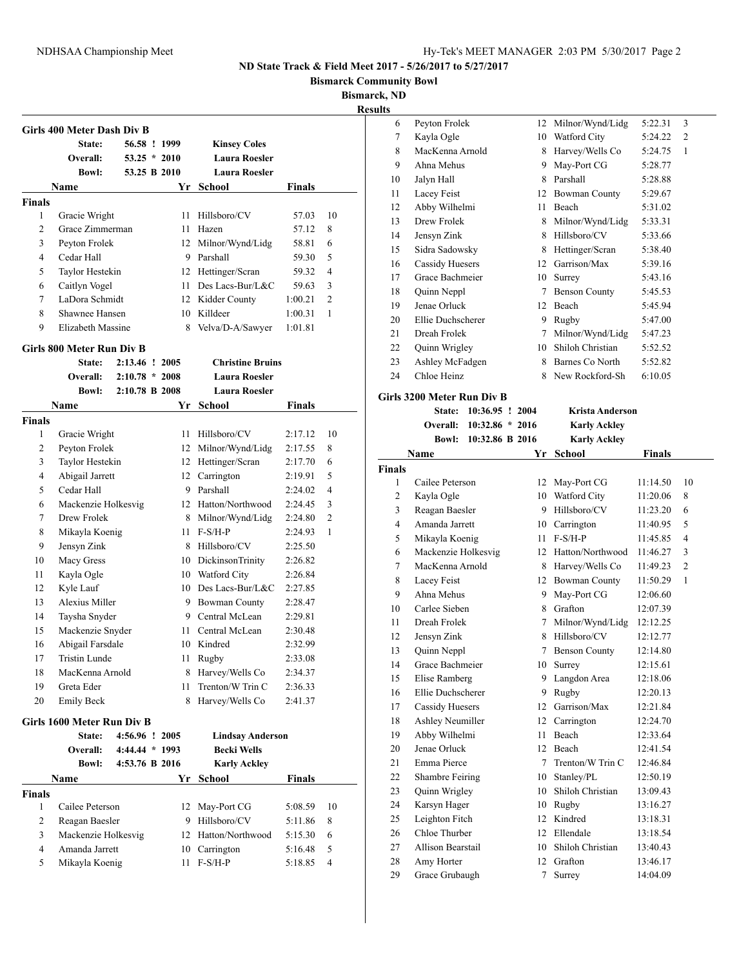**Bismarck Community Bowl**

**Bismarck, ND**

**Results**

|                    | Girls 400 Meter Dash Div B         |                  |                |                                        |                    |                |
|--------------------|------------------------------------|------------------|----------------|----------------------------------------|--------------------|----------------|
|                    | State:                             |                  | 56.58 ! 1999   | <b>Kinsey Coles</b>                    |                    |                |
|                    | <b>Overall:</b>                    |                  | $53.25 * 2010$ | <b>Laura Roesler</b>                   |                    |                |
|                    | <b>Bowl:</b>                       |                  | 53.25 B 2010   | <b>Laura Roesler</b>                   |                    |                |
|                    | Name                               |                  |                | Yr_School                              | Finals             |                |
| <b>Finals</b>      |                                    |                  |                |                                        |                    |                |
| 1<br>2             | Gracie Wright<br>Grace Zimmerman   |                  | 11<br>11       | Hillsboro/CV                           | 57.03<br>57.12     | 10<br>8        |
|                    |                                    |                  |                | Hazen                                  | 58.81              | 6              |
| 3<br>4             | Peyton Frolek<br>Cedar Hall        |                  |                | 12 Milnor/Wynd/Lidg                    |                    | 5              |
| 5                  |                                    |                  |                | 9 Parshall                             | 59.30              | $\overline{4}$ |
| 6                  | Taylor Hestekin                    |                  | 11             | 12 Hettinger/Scran<br>Des Lacs-Bur/L&C | 59.32<br>59.63     | 3              |
|                    | Caitlyn Vogel<br>LaDora Schmidt    |                  |                |                                        |                    |                |
| 7<br>8             | Shawnee Hansen                     |                  | 10             | 12 Kidder County<br>Killdeer           | 1:00.21            | 2<br>1         |
|                    | Elizabeth Massine                  |                  |                |                                        | 1:00.31            |                |
| 9                  |                                    |                  | 8              | Velva/D-A/Sawyer                       | 1:01.81            |                |
|                    | Girls 800 Meter Run Div B          |                  |                |                                        |                    |                |
|                    | State:                             | 2:13.46 ! 2005   |                | <b>Christine Bruins</b>                |                    |                |
|                    | Overall:                           | $2:10.78 * 2008$ |                | <b>Laura Roesler</b>                   |                    |                |
|                    | <b>Bowl:</b>                       | 2:10.78 B 2008   |                | <b>Laura Roesler</b>                   |                    |                |
|                    | Name                               |                  | Yr             | School                                 | Finals             |                |
| <b>Finals</b><br>1 |                                    |                  | 11             | Hillsboro/CV                           | 2:17.12            | 10             |
|                    | Gracie Wright                      |                  |                | 12 Milnor/Wynd/Lidg                    |                    | 8              |
| 2<br>3             | Peyton Frolek                      |                  |                |                                        | 2:17.55            | 6              |
| 4                  | Taylor Hestekin<br>Abigail Jarrett |                  | 12             | 12 Hettinger/Scran                     | 2:17.70            | 5              |
|                    | Cedar Hall                         |                  | 9.             | Carrington<br>Parshall                 | 2:19.91            | 4              |
| 5<br>6             |                                    |                  | 12             | Hatton/Northwood                       | 2:24.02            | 3              |
|                    | Mackenzie Holkesvig<br>Drew Frolek |                  |                |                                        | 2:24.45            | $\overline{c}$ |
| 7                  |                                    |                  | 8              | Milnor/Wynd/Lidg<br>$F-S/H-P$          | 2:24.80            | 1              |
| 8<br>9             | Mikayla Koenig                     |                  | 11             | 8 Hillsboro/CV                         | 2:24.93<br>2:25.50 |                |
| 10                 | Jensyn Zink<br>Macy Gress          |                  |                | 10 DickinsonTrinity                    | 2:26.82            |                |
|                    |                                    |                  |                |                                        |                    |                |
| 11<br>12           | Kayla Ogle                         |                  |                | 10 Watford City<br>10 Des Lacs-Bur/L&C | 2:26.84            |                |
| 13                 | Kyle Lauf<br>Alexius Miller        |                  |                |                                        | 2:27.85            |                |
|                    |                                    |                  |                | 9 Bowman County<br>9 Central McLean    | 2:28.47            |                |
| 14<br>15           | Taysha Snyder<br>Mackenzie Snyder  |                  | 11             | Central McLean                         | 2:29.81            |                |
| 16                 |                                    |                  |                | 10 Kindred                             | 2:30.48            |                |
| 17                 | Abigail Farsdale<br>Tristin Lunde  |                  |                | Rugby                                  | 2:32.99<br>2:33.08 |                |
| 18                 | MacKenna Arnold                    |                  | 11<br>8        | Harvey/Wells Co                        | 2:34.37            |                |
| 19                 | Greta Eder                         |                  | 11             | Trenton/W Trin C                       | 2:36.33            |                |
| 20                 | <b>Emily Beck</b>                  |                  | 8              | Harvey/Wells Co                        | 2:41.37            |                |
|                    |                                    |                  |                |                                        |                    |                |
|                    | Girls 1600 Meter Run Div B         |                  |                |                                        |                    |                |
|                    | State:                             | 4:56.96 ! 2005   |                | <b>Lindsay Anderson</b>                |                    |                |
|                    | Overall:                           | 4:44.44 * 1993   |                | <b>Becki Wells</b>                     |                    |                |
|                    | Bowl:                              | 4:53.76 B 2016   |                | <b>Karly Ackley</b>                    |                    |                |
|                    | Name                               |                  |                | Yr School                              | <b>Finals</b>      |                |
| <b>Finals</b><br>1 | Cailee Peterson                    |                  | 12             | May-Port CG                            | 5:08.59            | 10             |
| 2                  | Reagan Baesler                     |                  | 9              | Hillsboro/CV                           | 5:11.86            | 8              |
| 3                  | Mackenzie Holkesvig                |                  | 12             | Hatton/Northwood                       | 5:15.30            | 6              |
| 4                  | Amanda Jarrett                     |                  | 10             | Carrington                             | 5:16.48            | 5              |
|                    |                                    |                  |                |                                        |                    |                |
| 5                  | Mikayla Koenig                     |                  | 11             | $F-S/H-P$                              | 5:18.85            | 4              |

| 6  | Peyton Frolek          | 12 | Milnor/Wynd/Lidg     | 5:22.31 | 3              |
|----|------------------------|----|----------------------|---------|----------------|
| 7  | Kayla Ogle             | 10 | Watford City         | 5:24.22 | $\overline{2}$ |
| 8  | MacKenna Arnold        | 8  | Harvey/Wells Co      | 5:24.75 | 1              |
| 9  | Ahna Mehus             | 9  | May-Port CG          | 5:28.77 |                |
| 10 | Jalyn Hall             | 8  | Parshall             | 5:28.88 |                |
| 11 | Lacey Feist            | 12 | Bowman County        | 5:29.67 |                |
| 12 | Abby Wilhelmi          | 11 | Beach                | 5:31.02 |                |
| 13 | Drew Frolek            | 8  | Milnor/Wynd/Lidg     | 5:33.31 |                |
| 14 | Jensyn Zink            | 8  | Hillsboro/CV         | 5:33.66 |                |
| 15 | Sidra Sadowsky         | 8  | Hettinger/Scran      | 5:38.40 |                |
| 16 | <b>Cassidy Huesers</b> | 12 | Garrison/Max         | 5:39.16 |                |
| 17 | Grace Bachmeier        | 10 | Surrey               | 5:43.16 |                |
| 18 | Quinn Neppl            | 7  | <b>Benson County</b> | 5:45.53 |                |
| 19 | Jenae Orluck           | 12 | Beach                | 5:45.94 |                |
| 20 | Ellie Duchscherer      | 9  | Rugby                | 5:47.00 |                |
| 21 | Dreah Frolek           | 7  | Milnor/Wynd/Lidg     | 5:47.23 |                |
| 22 | Quinn Wrigley          | 10 | Shiloh Christian     | 5:52.52 |                |
| 23 | Ashley McFadgen        | 8  | Barnes Co North      | 5:52.82 |                |
| 24 | Chloe Heinz            | 8  | New Rockford-Sh      | 6:10.05 |                |
|    |                        |    |                      |         |                |

#### **Girls 3200 Meter Run Div B**

|                | State:                 | 10:36.95 ! 2004   | <b>Krista Anderson</b> |                      |               |                |
|----------------|------------------------|-------------------|------------------------|----------------------|---------------|----------------|
|                | Overall:               | $10:32.86 * 2016$ |                        | <b>Karly Ackley</b>  |               |                |
|                | <b>Bowl:</b>           | 10:32.86 B 2016   |                        | <b>Karly Ackley</b>  |               |                |
|                | Name                   |                   | Yr                     | <b>School</b>        | <b>Finals</b> |                |
| <b>Finals</b>  |                        |                   |                        |                      |               |                |
| 1              | Cailee Peterson        |                   | 12                     | May-Port CG          | 11:14.50      | 10             |
| $\overline{c}$ | Kayla Ogle             |                   | 10                     | Watford City         | 11:20.06      | 8              |
| 3              | Reagan Baesler         |                   | 9                      | Hillsboro/CV         | 11:23.20      | 6              |
| $\overline{4}$ | Amanda Jarrett         |                   | 10                     | Carrington           | 11:40.95      | 5              |
| 5              | Mikayla Koenig         |                   | 11                     | $F-S/H-P$            | 11:45.85      | $\overline{4}$ |
| 6              | Mackenzie Holkesvig    |                   | 12                     | Hatton/Northwood     | 11:46.27      | 3              |
| 7              | MacKenna Arnold        |                   | 8                      | Harvey/Wells Co      | 11:49.23      | $\overline{2}$ |
| 8              | Lacev Feist            |                   | 12                     | <b>Bowman County</b> | 11:50.29      | $\mathbf{1}$   |
| 9              | Ahna Mehus             |                   | 9                      | May-Port CG          | 12:06.60      |                |
| 10             | Carlee Sieben          |                   | 8                      | Grafton              | 12:07.39      |                |
| 11             | Dreah Frolek           |                   | 7                      | Milnor/Wynd/Lidg     | 12:12.25      |                |
| 12             | Jensyn Zink            |                   | 8                      | Hillsboro/CV         | 12:12.77      |                |
| 13             | Quinn Neppl            |                   | $\tau$                 | <b>Benson County</b> | 12:14.80      |                |
| 14             | Grace Bachmeier        |                   | 10                     | Surrey               | 12:15.61      |                |
| 15             | Elise Ramberg          |                   | 9                      | Langdon Area         | 12:18.06      |                |
| 16             | Ellie Duchscherer      |                   | 9                      | Rugby                | 12:20.13      |                |
| 17             | <b>Cassidy Huesers</b> |                   | 12                     | Garrison/Max         | 12:21.84      |                |
| 18             | Ashley Neumiller       |                   | 12                     | Carrington           | 12:24.70      |                |
| 19             | Abby Wilhelmi          |                   | 11                     | Beach                | 12:33.64      |                |
| 20             | Jenae Orluck           |                   | 12                     | Beach                | 12:41.54      |                |
| 21             | Emma Pierce            |                   | $\overline{7}$         | Trenton/W Trin C     | 12:46.84      |                |
| 22             | Shambre Feiring        |                   | 10                     | Stanley/PL           | 12:50.19      |                |
| 23             | Quinn Wrigley          |                   | 10                     | Shiloh Christian     | 13:09.43      |                |
| 24             | Karsyn Hager           |                   | 10                     | Rugby                | 13:16.27      |                |
| 25             | Leighton Fitch         |                   | 12                     | Kindred              | 13:18.31      |                |
| 26             | Chloe Thurber          |                   | 12                     | Ellendale            | 13:18.54      |                |
| 27             | Allison Bearstail      |                   | 10                     | Shiloh Christian     | 13:40.43      |                |
| 28             | Amy Horter             |                   | 12                     | Grafton              | 13:46.17      |                |
| 29             | Grace Grubaugh         |                   | $\overline{7}$         | Surrey               | 14:04.09      |                |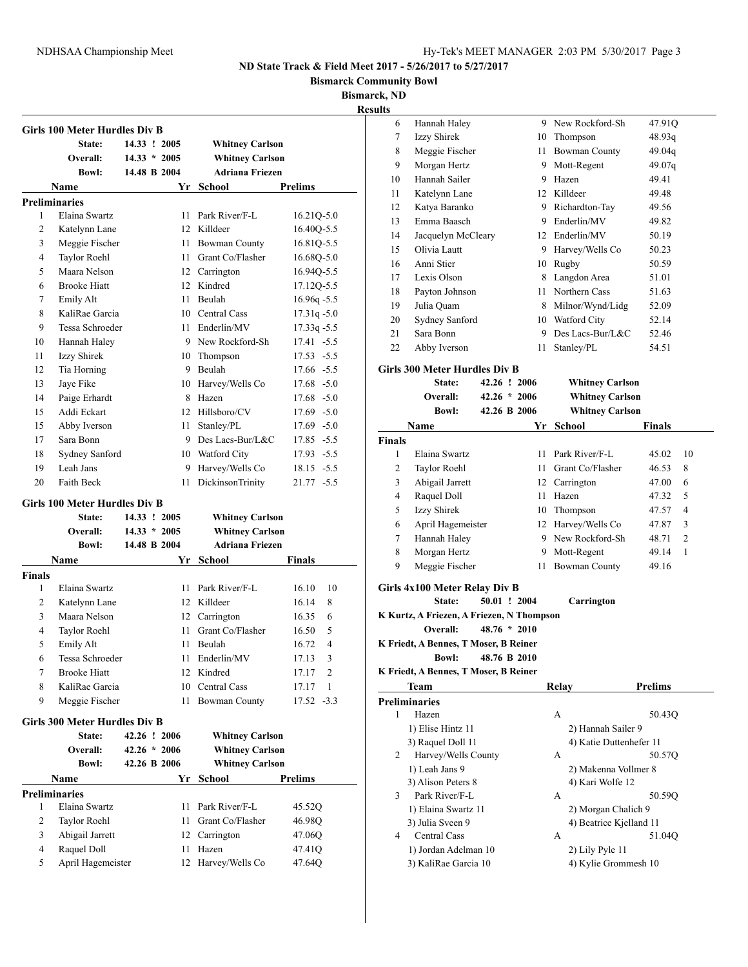**Bismarck Community Bowl**

**Bismarck, ND**

**Results**

| State:<br>Overall:<br><b>Bowl:</b><br>Name<br><b>Preliminaries</b> |                                                                                                                                                                                                                                                                                                                                                                                    | 14.33 ! 2005<br>$14.33 * 2005$<br>14.48 B 2004<br>Yr | <b>Whitney Carlson</b><br><b>Whitney Carlson</b><br><b>Adriana Friezen</b><br>School                                             |                                                                                                                                                                                                                                                                                                                                                                                                                                                                                                                                                                                                      |
|--------------------------------------------------------------------|------------------------------------------------------------------------------------------------------------------------------------------------------------------------------------------------------------------------------------------------------------------------------------------------------------------------------------------------------------------------------------|------------------------------------------------------|----------------------------------------------------------------------------------------------------------------------------------|------------------------------------------------------------------------------------------------------------------------------------------------------------------------------------------------------------------------------------------------------------------------------------------------------------------------------------------------------------------------------------------------------------------------------------------------------------------------------------------------------------------------------------------------------------------------------------------------------|
|                                                                    |                                                                                                                                                                                                                                                                                                                                                                                    |                                                      |                                                                                                                                  |                                                                                                                                                                                                                                                                                                                                                                                                                                                                                                                                                                                                      |
|                                                                    |                                                                                                                                                                                                                                                                                                                                                                                    |                                                      |                                                                                                                                  |                                                                                                                                                                                                                                                                                                                                                                                                                                                                                                                                                                                                      |
|                                                                    |                                                                                                                                                                                                                                                                                                                                                                                    |                                                      |                                                                                                                                  |                                                                                                                                                                                                                                                                                                                                                                                                                                                                                                                                                                                                      |
|                                                                    |                                                                                                                                                                                                                                                                                                                                                                                    |                                                      |                                                                                                                                  | <b>Prelims</b>                                                                                                                                                                                                                                                                                                                                                                                                                                                                                                                                                                                       |
|                                                                    |                                                                                                                                                                                                                                                                                                                                                                                    |                                                      |                                                                                                                                  |                                                                                                                                                                                                                                                                                                                                                                                                                                                                                                                                                                                                      |
| Elaina Swartz                                                      |                                                                                                                                                                                                                                                                                                                                                                                    | 11                                                   | Park River/F-L                                                                                                                   | $16.21Q - 5.0$                                                                                                                                                                                                                                                                                                                                                                                                                                                                                                                                                                                       |
| Katelynn Lane                                                      |                                                                                                                                                                                                                                                                                                                                                                                    | 12                                                   | Killdeer                                                                                                                         | 16.40Q-5.5                                                                                                                                                                                                                                                                                                                                                                                                                                                                                                                                                                                           |
| Meggie Fischer                                                     |                                                                                                                                                                                                                                                                                                                                                                                    | 11                                                   | <b>Bowman County</b>                                                                                                             | 16.81Q-5.5                                                                                                                                                                                                                                                                                                                                                                                                                                                                                                                                                                                           |
|                                                                    |                                                                                                                                                                                                                                                                                                                                                                                    |                                                      | Grant Co/Flasher                                                                                                                 | 16.680-5.0                                                                                                                                                                                                                                                                                                                                                                                                                                                                                                                                                                                           |
| Maara Nelson                                                       |                                                                                                                                                                                                                                                                                                                                                                                    |                                                      |                                                                                                                                  | 16.94Q-5.5                                                                                                                                                                                                                                                                                                                                                                                                                                                                                                                                                                                           |
| <b>Brooke Hiatt</b>                                                |                                                                                                                                                                                                                                                                                                                                                                                    |                                                      | Kindred                                                                                                                          | 17.12Q-5.5                                                                                                                                                                                                                                                                                                                                                                                                                                                                                                                                                                                           |
|                                                                    |                                                                                                                                                                                                                                                                                                                                                                                    |                                                      | Beulah                                                                                                                           | $16.96q - 5.5$                                                                                                                                                                                                                                                                                                                                                                                                                                                                                                                                                                                       |
| KaliRae Garcia                                                     |                                                                                                                                                                                                                                                                                                                                                                                    |                                                      |                                                                                                                                  | $17.31q - 5.0$                                                                                                                                                                                                                                                                                                                                                                                                                                                                                                                                                                                       |
|                                                                    |                                                                                                                                                                                                                                                                                                                                                                                    |                                                      | Enderlin/MV                                                                                                                      | $17.33q - 5.5$                                                                                                                                                                                                                                                                                                                                                                                                                                                                                                                                                                                       |
|                                                                    |                                                                                                                                                                                                                                                                                                                                                                                    |                                                      |                                                                                                                                  | 17.41 -5.5                                                                                                                                                                                                                                                                                                                                                                                                                                                                                                                                                                                           |
|                                                                    |                                                                                                                                                                                                                                                                                                                                                                                    |                                                      |                                                                                                                                  | 17.53 -5.5                                                                                                                                                                                                                                                                                                                                                                                                                                                                                                                                                                                           |
|                                                                    |                                                                                                                                                                                                                                                                                                                                                                                    |                                                      | Beulah                                                                                                                           | 17.66 -5.5                                                                                                                                                                                                                                                                                                                                                                                                                                                                                                                                                                                           |
|                                                                    |                                                                                                                                                                                                                                                                                                                                                                                    |                                                      |                                                                                                                                  | $17.68 - 5.0$                                                                                                                                                                                                                                                                                                                                                                                                                                                                                                                                                                                        |
|                                                                    |                                                                                                                                                                                                                                                                                                                                                                                    |                                                      | Hazen                                                                                                                            | $17.68 - 5.0$                                                                                                                                                                                                                                                                                                                                                                                                                                                                                                                                                                                        |
|                                                                    |                                                                                                                                                                                                                                                                                                                                                                                    |                                                      |                                                                                                                                  | $17.69 - 5.0$                                                                                                                                                                                                                                                                                                                                                                                                                                                                                                                                                                                        |
|                                                                    |                                                                                                                                                                                                                                                                                                                                                                                    |                                                      |                                                                                                                                  | $17.69 - 5.0$                                                                                                                                                                                                                                                                                                                                                                                                                                                                                                                                                                                        |
|                                                                    |                                                                                                                                                                                                                                                                                                                                                                                    |                                                      |                                                                                                                                  | 17.85 - 5.5                                                                                                                                                                                                                                                                                                                                                                                                                                                                                                                                                                                          |
|                                                                    |                                                                                                                                                                                                                                                                                                                                                                                    |                                                      |                                                                                                                                  | 17.93 -5.5                                                                                                                                                                                                                                                                                                                                                                                                                                                                                                                                                                                           |
|                                                                    |                                                                                                                                                                                                                                                                                                                                                                                    |                                                      |                                                                                                                                  | $18.15 - 5.5$                                                                                                                                                                                                                                                                                                                                                                                                                                                                                                                                                                                        |
|                                                                    |                                                                                                                                                                                                                                                                                                                                                                                    |                                                      |                                                                                                                                  | 21.77 -5.5                                                                                                                                                                                                                                                                                                                                                                                                                                                                                                                                                                                           |
|                                                                    |                                                                                                                                                                                                                                                                                                                                                                                    |                                                      |                                                                                                                                  |                                                                                                                                                                                                                                                                                                                                                                                                                                                                                                                                                                                                      |
|                                                                    |                                                                                                                                                                                                                                                                                                                                                                                    |                                                      |                                                                                                                                  |                                                                                                                                                                                                                                                                                                                                                                                                                                                                                                                                                                                                      |
|                                                                    |                                                                                                                                                                                                                                                                                                                                                                                    |                                                      |                                                                                                                                  |                                                                                                                                                                                                                                                                                                                                                                                                                                                                                                                                                                                                      |
|                                                                    |                                                                                                                                                                                                                                                                                                                                                                                    |                                                      |                                                                                                                                  |                                                                                                                                                                                                                                                                                                                                                                                                                                                                                                                                                                                                      |
|                                                                    |                                                                                                                                                                                                                                                                                                                                                                                    |                                                      |                                                                                                                                  |                                                                                                                                                                                                                                                                                                                                                                                                                                                                                                                                                                                                      |
|                                                                    |                                                                                                                                                                                                                                                                                                                                                                                    |                                                      |                                                                                                                                  | Finals                                                                                                                                                                                                                                                                                                                                                                                                                                                                                                                                                                                               |
|                                                                    |                                                                                                                                                                                                                                                                                                                                                                                    |                                                      |                                                                                                                                  |                                                                                                                                                                                                                                                                                                                                                                                                                                                                                                                                                                                                      |
|                                                                    |                                                                                                                                                                                                                                                                                                                                                                                    |                                                      |                                                                                                                                  | 16.10<br>10                                                                                                                                                                                                                                                                                                                                                                                                                                                                                                                                                                                          |
|                                                                    |                                                                                                                                                                                                                                                                                                                                                                                    |                                                      |                                                                                                                                  | 16.14<br>8                                                                                                                                                                                                                                                                                                                                                                                                                                                                                                                                                                                           |
|                                                                    |                                                                                                                                                                                                                                                                                                                                                                                    |                                                      |                                                                                                                                  | 6<br>16.35                                                                                                                                                                                                                                                                                                                                                                                                                                                                                                                                                                                           |
|                                                                    |                                                                                                                                                                                                                                                                                                                                                                                    |                                                      |                                                                                                                                  | 16.50<br>5                                                                                                                                                                                                                                                                                                                                                                                                                                                                                                                                                                                           |
|                                                                    |                                                                                                                                                                                                                                                                                                                                                                                    |                                                      |                                                                                                                                  | 16.72<br>4                                                                                                                                                                                                                                                                                                                                                                                                                                                                                                                                                                                           |
|                                                                    |                                                                                                                                                                                                                                                                                                                                                                                    |                                                      |                                                                                                                                  | 17.13<br>3                                                                                                                                                                                                                                                                                                                                                                                                                                                                                                                                                                                           |
|                                                                    |                                                                                                                                                                                                                                                                                                                                                                                    |                                                      |                                                                                                                                  | 2<br>17.17                                                                                                                                                                                                                                                                                                                                                                                                                                                                                                                                                                                           |
|                                                                    |                                                                                                                                                                                                                                                                                                                                                                                    |                                                      |                                                                                                                                  | 17.17<br>1                                                                                                                                                                                                                                                                                                                                                                                                                                                                                                                                                                                           |
|                                                                    |                                                                                                                                                                                                                                                                                                                                                                                    |                                                      |                                                                                                                                  | 17.52 -3.3                                                                                                                                                                                                                                                                                                                                                                                                                                                                                                                                                                                           |
|                                                                    |                                                                                                                                                                                                                                                                                                                                                                                    |                                                      |                                                                                                                                  |                                                                                                                                                                                                                                                                                                                                                                                                                                                                                                                                                                                                      |
| State:                                                             |                                                                                                                                                                                                                                                                                                                                                                                    |                                                      |                                                                                                                                  |                                                                                                                                                                                                                                                                                                                                                                                                                                                                                                                                                                                                      |
| Overall:                                                           |                                                                                                                                                                                                                                                                                                                                                                                    | $42.26 * 2006$                                       | <b>Whitney Carlson</b>                                                                                                           |                                                                                                                                                                                                                                                                                                                                                                                                                                                                                                                                                                                                      |
| <b>Bowl:</b>                                                       |                                                                                                                                                                                                                                                                                                                                                                                    | 42.26 B 2006                                         | <b>Whitney Carlson</b>                                                                                                           |                                                                                                                                                                                                                                                                                                                                                                                                                                                                                                                                                                                                      |
|                                                                    |                                                                                                                                                                                                                                                                                                                                                                                    | Yr                                                   | <b>School</b>                                                                                                                    | Prelims                                                                                                                                                                                                                                                                                                                                                                                                                                                                                                                                                                                              |
|                                                                    |                                                                                                                                                                                                                                                                                                                                                                                    |                                                      |                                                                                                                                  |                                                                                                                                                                                                                                                                                                                                                                                                                                                                                                                                                                                                      |
| Name                                                               |                                                                                                                                                                                                                                                                                                                                                                                    |                                                      |                                                                                                                                  |                                                                                                                                                                                                                                                                                                                                                                                                                                                                                                                                                                                                      |
| <b>Preliminaries</b><br>Elaina Swartz                              |                                                                                                                                                                                                                                                                                                                                                                                    | 11                                                   |                                                                                                                                  |                                                                                                                                                                                                                                                                                                                                                                                                                                                                                                                                                                                                      |
|                                                                    |                                                                                                                                                                                                                                                                                                                                                                                    | 11                                                   | Park River/F-L<br>Grant Co/Flasher                                                                                               | 45.52Q                                                                                                                                                                                                                                                                                                                                                                                                                                                                                                                                                                                               |
| Taylor Roehl                                                       |                                                                                                                                                                                                                                                                                                                                                                                    | 12                                                   |                                                                                                                                  | 46.98Q                                                                                                                                                                                                                                                                                                                                                                                                                                                                                                                                                                                               |
| Abigail Jarrett<br>Raquel Doll                                     |                                                                                                                                                                                                                                                                                                                                                                                    | 11                                                   | Carrington<br>Hazen                                                                                                              | 47.06Q<br>47.41Q                                                                                                                                                                                                                                                                                                                                                                                                                                                                                                                                                                                     |
| <b>Finals</b>                                                      | Taylor Roehl<br>Emily Alt<br>Hannah Haley<br>Izzy Shirek<br>Tia Horning<br>Jave Fike<br>Paige Erhardt<br>Addi Eckart<br>Abby Iverson<br>Sara Bonn<br>Leah Jans<br><b>Faith Beck</b><br><b>State:</b><br>Overall:<br><b>Bowl:</b><br>Name<br>Elaina Swartz<br>Katelynn Lane<br>Maara Nelson<br>Taylor Roehl<br>Emily Alt<br><b>Brooke Hiatt</b><br>KaliRae Garcia<br>Meggie Fischer | Tessa Schroeder<br>Sydney Sanford<br>Tessa Schroeder | Girls 100 Meter Hurdles Div B<br>14.33 ! 2005<br>$14.33 * 2005$<br>14.48 B 2004<br>Girls 300 Meter Hurdles Div B<br>42.26 ! 2006 | 11<br>12 Carrington<br>12<br>11<br>10 Central Cass<br>11<br>9 New Rockford-Sh<br>10<br>Thompson<br>9<br>10<br>Harvey/Wells Co<br>8<br>Hillsboro/CV<br>12<br>11<br>Stanley/PL<br>9<br>Des Lacs-Bur/L&C<br>10<br>Watford City<br>9<br>Harvey/Wells Co<br>DickinsonTrinity<br>11<br><b>Whitney Carlson</b><br><b>Whitney Carlson</b><br><b>Adriana Friezen</b><br>Yr School<br>11<br>Park River/F-L<br>12<br>Killdeer<br>12<br>Carrington<br>Grant Co/Flasher<br>11<br>11<br>Beulah<br>11<br>Enderlin/MV<br>12<br>Kindred<br>Central Cass<br>10<br><b>Bowman County</b><br>11<br><b>Whitney Carlson</b> |

| 6  | Hannah Haley       | 9  | New Rockford-Sh  | 47.91Q |
|----|--------------------|----|------------------|--------|
| 7  | Izzy Shirek        | 10 | Thompson         | 48.93q |
| 8  | Meggie Fischer     | 11 | Bowman County    | 49.04q |
| 9  | Morgan Hertz       | 9  | Mott-Regent      | 49.07q |
| 10 | Hannah Sailer      | 9  | Hazen            | 49.41  |
| 11 | Katelynn Lane      | 12 | Killdeer         | 49.48  |
| 12 | Katya Baranko      | 9  | Richardton-Tay   | 49.56  |
| 13 | Emma Baasch        | 9  | Enderlin/MV      | 49.82  |
| 14 | Jacquelyn McCleary | 12 | Enderlin/MV      | 50.19  |
| 15 | Olivia Lautt       | 9  | Harvey/Wells Co  | 50.23  |
| 16 | Anni Stier         | 10 | Rugby            | 50.59  |
| 17 | Lexis Olson        | 8  | Langdon Area     | 51.01  |
| 18 | Payton Johnson     | 11 | Northern Cass    | 51.63  |
| 19 | Julia Quam         | 8  | Milnor/Wynd/Lidg | 52.09  |
| 20 | Sydney Sanford     | 10 | Watford City     | 52.14  |
| 21 | Sara Bonn          | 9  | Des Lacs-Bur/L&C | 52.46  |
| 22 | Abby Iverson       | 11 | Stanley/PL       | 54.51  |
|    |                    |    |                  |        |

### **Girls 300 Meter Hurdles Div B**

|               | 42.26 ! 2006<br>State: |                | <b>Whitney Carlson</b> |                        |               |                |
|---------------|------------------------|----------------|------------------------|------------------------|---------------|----------------|
|               | Overall:               | $42.26 * 2006$ |                        | <b>Whitney Carlson</b> |               |                |
|               | <b>Bowl:</b>           | 42.26 B 2006   |                        | <b>Whitney Carlson</b> |               |                |
|               | Name                   |                | Yr                     | School                 | <b>Finals</b> |                |
| <b>Finals</b> |                        |                |                        |                        |               |                |
| 1             | Elaina Swartz          |                | 11                     | Park River/F-L         | 45.02         | 10             |
| 2             | Taylor Roehl           |                | 11                     | Grant Co/Flasher       | 46.53         | 8              |
| 3             | Abigail Jarrett        |                | 12                     | Carrington             | 47.00         | 6              |
| 4             | Raquel Doll            |                | 11                     | Hazen                  | 47.32         | 5              |
| 5             | Izzy Shirek            |                | 10                     | Thompson               | 47.57         | $\overline{4}$ |
| 6             | April Hagemeister      |                | 12                     | Harvey/Wells Co        | 47.87         | 3              |
| $\tau$        | Hannah Haley           |                | 9                      | New Rockford-Sh        | 48.71         | $\overline{c}$ |
| 8             | Morgan Hertz           |                | 9                      | Mott-Regent            | 49.14         | 1              |
| 9             | Meggie Fischer         |                | 11                     | <b>Bowman County</b>   | 49.16         |                |
|               |                        |                |                        |                        |               |                |

### **Girls 4x100 Meter Relay Div B**

**State: 50.01 ! 2004 Carrington**

- **K Kurtz, A Friezen, A Friezen, N Thompson**
	- **Overall: 48.76 \* 2010**

**K Friedt, A Bennes, T Moser, B Reiner**

**Bowl: 48.76 B 2010**

### **K Friedt, A Bennes, T Moser, B Reiner**

J.

|   | <b>Team</b>          | Relav           | <b>Prelims</b>          |  |
|---|----------------------|-----------------|-------------------------|--|
|   | Preliminaries        |                 |                         |  |
| 1 | Hazen                | A               | 50.43Q                  |  |
|   | 1) Elise Hintz 11    |                 | 2) Hannah Sailer 9      |  |
|   | 3) Raquel Doll 11    |                 | 4) Katie Duttenhefer 11 |  |
| 2 | Harvey/Wells County  | A               | 50.57Q                  |  |
|   | 1) Leah Jans 9       |                 | 2) Makenna Vollmer 8    |  |
|   | 3) Alison Peters 8   |                 | 4) Kari Wolfe 12        |  |
| 3 | Park River/F-L       | A               | 50.590                  |  |
|   | 1) Elaina Swartz 11  |                 | 2) Morgan Chalich 9     |  |
|   | 3) Julia Sveen 9     |                 | 4) Beatrice Kielland 11 |  |
| 4 | Central Cass         | А               | 51.04Q                  |  |
|   | 1) Jordan Adelman 10 | 2) Lily Pyle 11 |                         |  |
|   | 3) KaliRae Garcia 10 |                 | 4) Kylie Grommesh 10    |  |
|   |                      |                 |                         |  |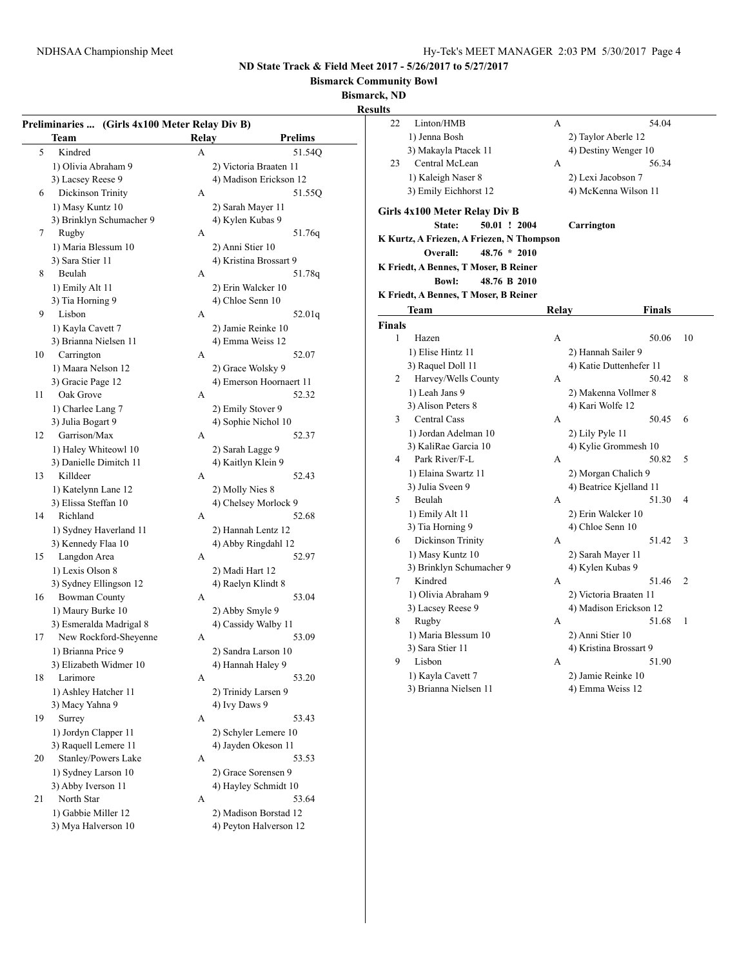**Bismarck Community Bowl**

**Bismarck, ND**

**Results**

| Preliminaries  (Girls 4x100 Meter Relay Div B) |                          |              |                                        |  |  |  |
|------------------------------------------------|--------------------------|--------------|----------------------------------------|--|--|--|
|                                                | Team                     | <b>Relay</b> | <b>Prelims</b>                         |  |  |  |
| 5                                              | Kindred                  | A            | 51.54Q                                 |  |  |  |
|                                                | 1) Olivia Abraham 9      |              | 2) Victoria Braaten 11                 |  |  |  |
|                                                | 3) Lacsey Reese 9        |              | 4) Madison Erickson 12                 |  |  |  |
| 6                                              | Dickinson Trinity        | A            | 51.550                                 |  |  |  |
|                                                | 1) Masy Kuntz 10         |              | 2) Sarah Mayer 11                      |  |  |  |
|                                                | 3) Brinklyn Schumacher 9 |              | 4) Kylen Kubas 9                       |  |  |  |
| 7                                              | Rugby                    | A            | 51.76q                                 |  |  |  |
|                                                | 1) Maria Blessum 10      |              | 2) Anni Stier 10                       |  |  |  |
|                                                | 3) Sara Stier 11         |              | 4) Kristina Brossart 9                 |  |  |  |
| 8                                              | Beulah                   | A            | 51.78q                                 |  |  |  |
|                                                | 1) Emily Alt 11          |              | 2) Erin Walcker 10                     |  |  |  |
|                                                | 3) Tia Horning 9         |              | 4) Chloe Senn 10                       |  |  |  |
| 9                                              | Lisbon                   | A            | 52.01q                                 |  |  |  |
|                                                | 1) Kayla Cavett 7        |              |                                        |  |  |  |
|                                                | 3) Brianna Nielsen 11    |              | 2) Jamie Reinke 10<br>4) Emma Weiss 12 |  |  |  |
| 10                                             |                          | A            | 52.07                                  |  |  |  |
|                                                | Carrington               |              |                                        |  |  |  |
|                                                | 1) Maara Nelson 12       |              | 2) Grace Wolsky 9                      |  |  |  |
|                                                | 3) Gracie Page 12        |              | 4) Emerson Hoornaert 11                |  |  |  |
| 11                                             | Oak Grove                | A            | 52.32                                  |  |  |  |
|                                                | 1) Charlee Lang 7        |              | 2) Emily Stover 9                      |  |  |  |
|                                                | 3) Julia Bogart 9        |              | 4) Sophie Nichol 10                    |  |  |  |
| 12                                             | Garrison/Max             | A            | 52.37                                  |  |  |  |
|                                                | 1) Haley Whiteowl 10     |              | 2) Sarah Lagge 9                       |  |  |  |
|                                                | 3) Danielle Dimitch 11   |              | 4) Kaitlyn Klein 9                     |  |  |  |
| 13                                             | Killdeer                 | A            | 52.43                                  |  |  |  |
|                                                | 1) Katelynn Lane 12      |              | 2) Molly Nies 8                        |  |  |  |
|                                                | 3) Elissa Steffan 10     |              | 4) Chelsey Morlock 9                   |  |  |  |
| 14                                             | Richland                 | A            | 52.68                                  |  |  |  |
|                                                | 1) Sydney Haverland 11   |              | 2) Hannah Lentz 12                     |  |  |  |
|                                                | 3) Kennedy Flaa 10       |              | 4) Abby Ringdahl 12                    |  |  |  |
| 15                                             | Langdon Area             | A            | 52.97                                  |  |  |  |
|                                                | 1) Lexis Olson 8         |              | 2) Madi Hart 12                        |  |  |  |
|                                                | 3) Sydney Ellingson 12   |              | 4) Raelyn Klindt 8                     |  |  |  |
| 16                                             | <b>Bowman County</b>     | A            | 53.04                                  |  |  |  |
|                                                | 1) Maury Burke 10        |              | 2) Abby Smyle 9                        |  |  |  |
|                                                | 3) Esmeralda Madrigal 8  |              | 4) Cassidy Walby 11                    |  |  |  |
| 17                                             | New Rockford-Sheyenne    | A            | 53.09                                  |  |  |  |
|                                                | 1) Brianna Price 9       |              | 2) Sandra Larson 10                    |  |  |  |
|                                                | 3) Elizabeth Widmer 10   |              | 4) Hannah Haley 9                      |  |  |  |
| 18                                             | Larimore                 | A            | 53.20                                  |  |  |  |
|                                                | 1) Ashley Hatcher 11     |              | 2) Trinidy Larsen 9                    |  |  |  |
|                                                | 3) Macy Yahna 9          |              | 4) Ivy Daws 9                          |  |  |  |
| 19                                             | Surrey                   | A            | 53.43                                  |  |  |  |
|                                                | 1) Jordyn Clapper 11     |              | 2) Schyler Lemere 10                   |  |  |  |
|                                                | 3) Raquell Lemere 11     |              | 4) Jayden Okeson 11                    |  |  |  |
| 20                                             | Stanley/Powers Lake      | A            | 53.53                                  |  |  |  |
|                                                | 1) Sydney Larson 10      |              | 2) Grace Sorensen 9                    |  |  |  |
|                                                | 3) Abby Iverson 11       |              | 4) Hayley Schmidt 10                   |  |  |  |
| 21                                             | North Star               | A            | 53.64                                  |  |  |  |
|                                                | 1) Gabbie Miller 12      |              | 2) Madison Borstad 12                  |  |  |  |
|                                                | 3) Mya Halverson 10      |              | 4) Peyton Halverson 12                 |  |  |  |

| ults          |                                           |       |                                                  |                |
|---------------|-------------------------------------------|-------|--------------------------------------------------|----------------|
| 22            | Linton/HMB                                | А     | 54.04                                            |                |
|               | 1) Jenna Bosh                             |       | 2) Taylor Aberle 12                              |                |
|               | 3) Makayla Ptacek 11                      |       | 4) Destiny Wenger 10                             |                |
| 23            | Central McLean                            | A     | 56.34                                            |                |
|               | 1) Kaleigh Naser 8                        |       | 2) Lexi Jacobson 7                               |                |
|               | 3) Emily Eichhorst 12                     |       | 4) McKenna Wilson 11                             |                |
|               | Girls 4x100 Meter Relay Div B             |       |                                                  |                |
|               | 50.01 ! 2004<br>State:                    |       | Carrington                                       |                |
|               | K Kurtz, A Friezen, A Friezen, N Thompson |       |                                                  |                |
|               | Overall:<br>$48.76 * 2010$                |       |                                                  |                |
|               | K Friedt, A Bennes, T Moser, B Reiner     |       |                                                  |                |
|               | <b>Bowl:</b><br>48.76 B 2010              |       |                                                  |                |
|               | K Friedt, A Bennes, T Moser, B Reiner     |       |                                                  |                |
|               | Team                                      | Relay | <b>Finals</b>                                    |                |
| <b>Finals</b> |                                           |       |                                                  |                |
| $\mathbf{1}$  | Hazen                                     | A     | 50.06                                            | 10             |
|               | 1) Elise Hintz 11                         |       | 2) Hannah Sailer 9                               |                |
|               | 3) Raquel Doll 11                         |       | 4) Katie Duttenhefer 11                          |                |
| 2             | Harvey/Wells County                       | A     | 50.42                                            | 8              |
|               | 1) Leah Jans 9                            |       | 2) Makenna Vollmer 8                             |                |
|               | 3) Alison Peters 8                        |       | 4) Kari Wolfe 12                                 |                |
| 3             | <b>Central Cass</b>                       | A     | 50.45                                            | 6              |
|               | 1) Jordan Adelman 10                      |       | 2) Lily Pyle 11                                  |                |
|               | 3) KaliRae Garcia 10                      |       | 4) Kylie Grommesh 10                             |                |
| 4             | Park River/F-L                            | A     | 50.82                                            | 5              |
|               | 1) Elaina Swartz 11                       |       | 2) Morgan Chalich 9                              |                |
|               | 3) Julia Sveen 9                          |       | 4) Beatrice Kjelland 11                          |                |
| 5             | Beulah                                    | A     | 51.30                                            | 4              |
|               | 1) Emily Alt 11                           |       | 2) Erin Walcker 10                               |                |
|               | 3) Tia Horning 9                          |       | 4) Chloe Senn 10                                 |                |
| 6             | Dickinson Trinity                         | A     | 51.42                                            | 3              |
|               | 1) Masy Kuntz 10                          |       | 2) Sarah Mayer 11                                |                |
|               | 3) Brinklyn Schumacher 9<br>Kindred       |       | 4) Kylen Kubas 9                                 |                |
| 7             |                                           | A     | 51.46                                            | $\overline{2}$ |
|               | 1) Olivia Abraham 9<br>3) Lacsey Reese 9  |       | 2) Victoria Braaten 11<br>4) Madison Erickson 12 |                |
| 8             | Rugby                                     | A     | 51.68                                            | 1              |
|               | 1) Maria Blessum 10                       |       | 2) Anni Stier 10                                 |                |
|               | 3) Sara Stier 11                          |       | 4) Kristina Brossart 9                           |                |
| 9             | Lisbon                                    | A     | 51.90                                            |                |
|               | 1) Kayla Cavett 7                         |       | 2) Jamie Reinke 10                               |                |
|               | 3) Brianna Nielsen 11                     |       | 4) Emma Weiss 12                                 |                |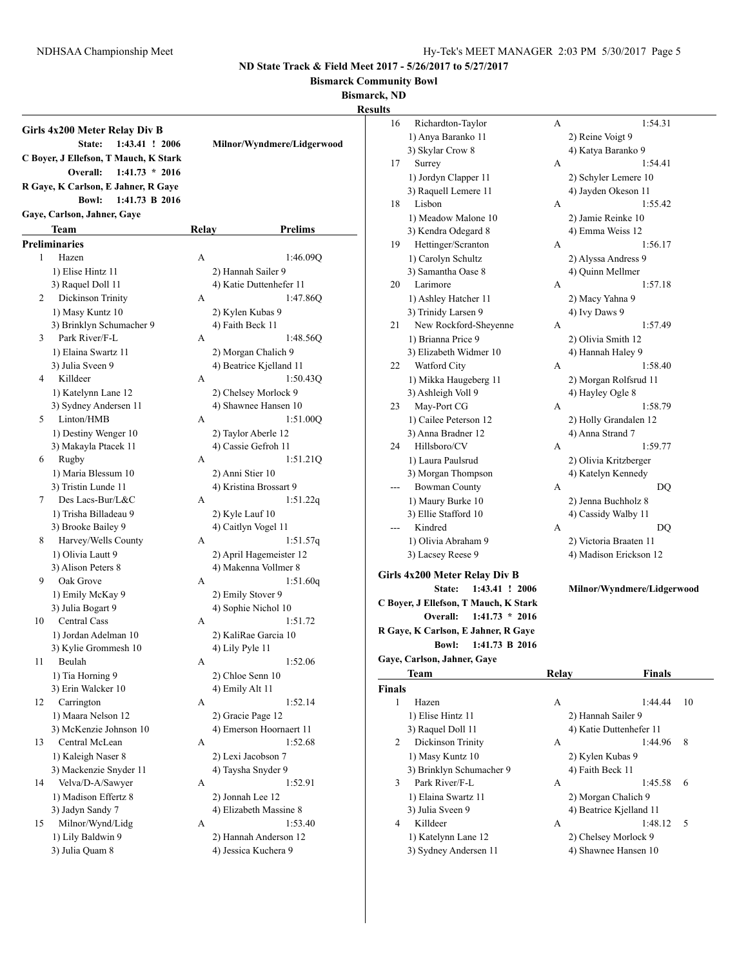**Bismarck Community Bowl**

**Bismarck, ND**

**Results**

|    | Girls 4x200 Meter Relay Div B         |       |                            |
|----|---------------------------------------|-------|----------------------------|
|    | State:<br>1:43.41 ! 2006              |       | Milnor/Wyndmere/Lidgerwood |
|    | C Boyer, J Ellefson, T Mauch, K Stark |       |                            |
|    | $1:41.73 * 2016$<br>Overall:          |       |                            |
|    | R Gaye, K Carlson, E Jahner, R Gaye   |       |                            |
|    | <b>Bowl:</b><br>1:41.73 B 2016        |       |                            |
|    | Gaye, Carlson, Jahner, Gaye           |       |                            |
|    | Team                                  |       | <b>Prelims</b>             |
|    |                                       | Relay |                            |
|    | <b>Preliminaries</b>                  |       |                            |
| 1  | Hazen                                 | A     | 1:46.09Q                   |
|    | 1) Elise Hintz 11                     |       | 2) Hannah Sailer 9         |
|    | 3) Raquel Doll 11                     |       | 4) Katie Duttenhefer 11    |
| 2  | Dickinson Trinity                     | A     | 1:47.86Q                   |
|    | 1) Masy Kuntz 10                      |       | 2) Kylen Kubas 9           |
|    | 3) Brinklyn Schumacher 9              |       | 4) Faith Beck 11           |
| 3  | Park River/F-L                        | A     | 1:48.56Q                   |
|    | 1) Elaina Swartz 11                   |       | 2) Morgan Chalich 9        |
|    | 3) Julia Sveen 9                      |       | 4) Beatrice Kjelland 11    |
| 4  | Killdeer                              | A     | 1:50.430                   |
|    | 1) Katelynn Lane 12                   |       | 2) Chelsey Morlock 9       |
|    | 3) Sydney Andersen 11                 |       | 4) Shawnee Hansen 10       |
| 5  | Linton/HMB                            | A     | 1:51.00Q                   |
|    | 1) Destiny Wenger 10                  |       | 2) Taylor Aberle 12        |
|    | 3) Makayla Ptacek 11                  |       | 4) Cassie Gefroh 11        |
| 6  | Rugby                                 | A     | 1:51.21Q                   |
|    | 1) Maria Blessum 10                   |       | 2) Anni Stier 10           |
|    | 3) Tristin Lunde 11                   |       | 4) Kristina Brossart 9     |
| 7  | Des Lacs-Bur/L&C                      | A     | 1:51.22q                   |
|    | 1) Trisha Billadeau 9                 |       | 2) Kyle Lauf 10            |
|    | 3) Brooke Bailey 9                    |       | 4) Caitlyn Vogel 11        |
| 8  | Harvey/Wells County                   | A     | 1:51.57q                   |
|    | 1) Olivia Lautt 9                     |       | 2) April Hagemeister 12    |
|    | 3) Alison Peters 8                    |       | 4) Makenna Vollmer 8       |
| 9  | Oak Grove                             | A     | 1:51.60q                   |
|    | 1) Emily McKay 9                      |       | 2) Emily Stover 9          |
|    | 3) Julia Bogart 9                     |       | 4) Sophie Nichol 10        |
| 10 | Central Cass                          | A     | 1:51.72                    |
|    | 1) Jordan Adelman 10                  |       | 2) KaliRae Garcia 10       |
|    | 3) Kylie Grommesh 10                  |       | 4) Lily Pyle 11            |
| 11 | Beulah                                | A     | 1:52.06                    |
|    | 1) Tia Horning 9                      |       | 2) Chloe Senn 10           |
|    | 3) Erin Walcker 10                    |       | 4) Emily Alt 11            |
| 12 | Carrington                            | A     | 1:52.14                    |
|    | 1) Maara Nelson 12                    |       | 2) Gracie Page 12          |
|    | 3) McKenzie Johnson 10                |       | 4) Emerson Hoornaert 11    |
| 13 | Central McLean                        | A     | 1:52.68                    |
|    | 1) Kaleigh Naser 8                    |       | 2) Lexi Jacobson 7         |
|    | 3) Mackenzie Snyder 11                |       | 4) Taysha Snyder 9         |
| 14 | Velva/D-A/Sawyer                      | A     | 1:52.91                    |
|    | 1) Madison Effertz 8                  |       | 2) Jonnah Lee 12           |
|    | 3) Jadyn Sandy 7                      |       | 4) Elizabeth Massine 8     |
| 15 | Milnor/Wynd/Lidg                      | A     | 1:53.40                    |
|    | 1) Lily Baldwin 9                     |       | 2) Hannah Anderson 12      |
|    | 3) Julia Quam 8                       |       | 4) Jessica Kuchera 9       |
|    |                                       |       |                            |

| 16            | Richardton-Taylor                     | А            | 1:54.31                    |    |
|---------------|---------------------------------------|--------------|----------------------------|----|
|               | 1) Anya Baranko 11                    |              | 2) Reine Voigt 9           |    |
|               | 3) Skylar Crow 8                      |              | 4) Katya Baranko 9         |    |
| 17            | Surrey                                | A            | 1:54.41                    |    |
|               | 1) Jordyn Clapper 11                  |              | 2) Schyler Lemere 10       |    |
|               | 3) Raquell Lemere 11                  |              | 4) Jayden Okeson 11        |    |
| 18            | Lisbon                                | A            | 1:55.42                    |    |
|               | 1) Meadow Malone 10                   |              | 2) Jamie Reinke 10         |    |
|               | 3) Kendra Odegard 8                   |              | 4) Emma Weiss 12           |    |
| 19            | Hettinger/Scranton                    | A            | 1:56.17                    |    |
|               | 1) Carolyn Schultz                    |              | 2) Alyssa Andress 9        |    |
|               | 3) Samantha Oase 8                    |              | 4) Quinn Mellmer           |    |
| 20            | Larimore                              | A            | 1:57.18                    |    |
|               | 1) Ashley Hatcher 11                  |              | 2) Macy Yahna 9            |    |
|               | 3) Trinidy Larsen 9                   |              | 4) Ivy Daws 9              |    |
| 21            | New Rockford-Sheyenne                 | А            | 1:57.49                    |    |
|               | 1) Brianna Price 9                    |              |                            |    |
|               |                                       |              | 2) Olivia Smith 12         |    |
|               | 3) Elizabeth Widmer 10                |              | 4) Hannah Haley 9          |    |
| 22            | Watford City                          | А            | 1:58.40                    |    |
|               | 1) Mikka Haugeberg 11                 |              | 2) Morgan Rolfsrud 11      |    |
|               | 3) Ashleigh Voll 9                    |              | 4) Hayley Ogle 8           |    |
| 23            | May-Port CG                           | A            | 1:58.79                    |    |
|               | 1) Cailee Peterson 12                 |              | 2) Holly Grandalen 12      |    |
|               | 3) Anna Bradner 12                    |              | 4) Anna Strand 7           |    |
| 24            | Hillsboro/CV                          | А            | 1:59.77                    |    |
|               | 1) Laura Paulsrud                     |              | 2) Olivia Kritzberger      |    |
|               | 3) Morgan Thompson                    |              | 4) Katelyn Kennedy         |    |
|               | <b>Bowman County</b>                  | A            | DQ                         |    |
|               | 1) Maury Burke 10                     |              | 2) Jenna Buchholz 8        |    |
|               | 3) Ellie Stafford 10                  |              | 4) Cassidy Walby 11        |    |
| ---           | Kindred                               | А            | DQ                         |    |
|               | 1) Olivia Abraham 9                   |              | 2) Victoria Braaten 11     |    |
|               | 3) Lacsey Reese 9                     |              | 4) Madison Erickson 12     |    |
|               | Girls 4x200 Meter Relay Div B         |              |                            |    |
|               | 1:43.41 ! 2006                        |              |                            |    |
|               | State:                                |              | Milnor/Wyndmere/Lidgerwood |    |
|               | C Boyer, J Ellefson, T Mauch, K Stark |              |                            |    |
|               | $1:41.73 * 2016$<br>Overall:          |              |                            |    |
|               | R Gaye, K Carlson, E Jahner, R Gaye   |              |                            |    |
|               | <b>Bowl:</b><br>1:41.73 B 2016        |              |                            |    |
|               | Gaye, Carlson, Jahner, Gaye           |              |                            |    |
|               | Team                                  | <b>Relay</b> | <b>Finals</b>              |    |
| <b>Finals</b> |                                       |              |                            |    |
| 1             | Hazen                                 | A            | 1:44.44                    | 10 |
|               | 1) Elise Hintz 11                     |              | 2) Hannah Sailer 9         |    |
|               | 3) Raquel Doll 11                     |              | 4) Katie Duttenhefer 11    |    |
| 2             | Dickinson Trinity                     | А            | 1:44.96                    | 8  |
|               | 1) Masy Kuntz 10                      |              | 2) Kylen Kubas 9           |    |
|               | 3) Brinklyn Schumacher 9              |              | 4) Faith Beck 11           |    |
| 3             | Park River/F-L                        | А            | 1:45.58                    | 6  |
|               | 1) Elaina Swartz 11                   |              | 2) Morgan Chalich 9        |    |
|               | 3) Julia Sveen 9                      |              | 4) Beatrice Kjelland 11    |    |
| 4             | Killdeer                              | А            | 1:48.12                    | 5  |
|               | 1) Katelynn Lane 12                   |              | 2) Chelsey Morlock 9       |    |
|               | 3) Sydney Andersen 11                 |              | 4) Shawnee Hansen 10       |    |
|               |                                       |              |                            |    |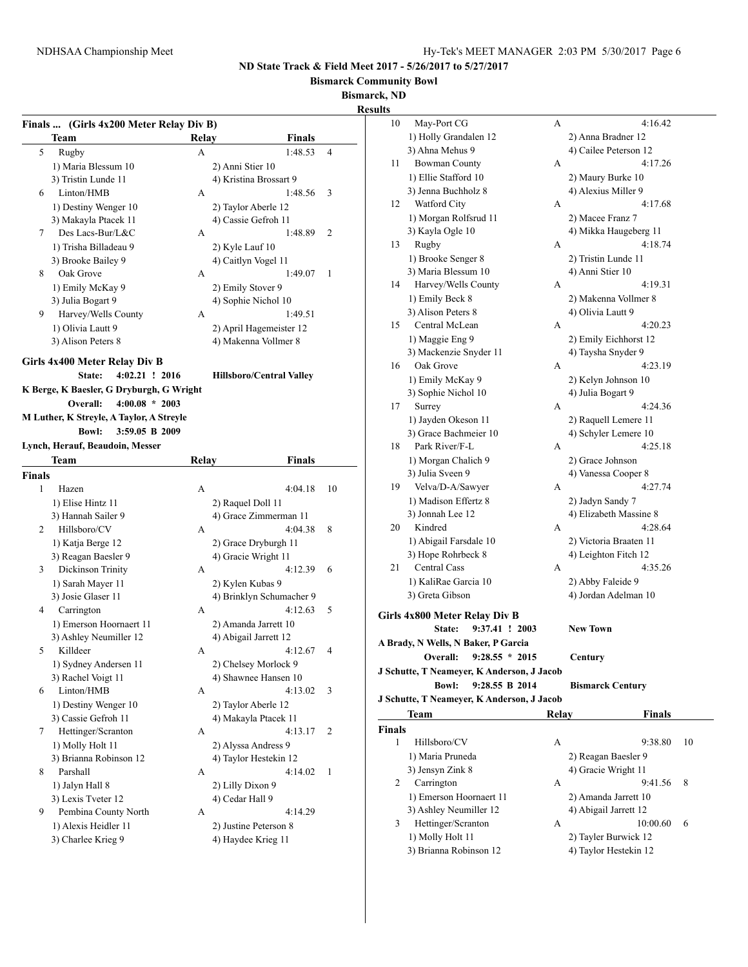**Bismarck Community Bowl**

**Bismarck, ND**

**Results**

|        | Finals  (Girls 4x200 Meter Relay Div B)     |       |                                             |                |
|--------|---------------------------------------------|-------|---------------------------------------------|----------------|
|        | Team                                        | Relay | <b>Finals</b>                               |                |
| 5      | Rugby                                       | A     | 1:48.53                                     | $\overline{4}$ |
|        | 1) Maria Blessum 10                         |       | 2) Anni Stier 10                            |                |
|        | 3) Tristin Lunde 11                         |       | 4) Kristina Brossart 9                      |                |
| 6      | Linton/HMB                                  | А     | 1:48.56                                     | 3              |
|        | 1) Destiny Wenger 10                        |       | 2) Taylor Aberle 12                         |                |
|        | 3) Makayla Ptacek 11                        |       | 4) Cassie Gefroh 11                         |                |
| 7      | Des Lacs-Bur/L&C                            | А     | 1:48.89                                     | 2              |
|        | 1) Trisha Billadeau 9                       |       | 2) Kyle Lauf 10                             |                |
|        | 3) Brooke Bailey 9                          |       | 4) Caitlyn Vogel 11                         |                |
| 8      | Oak Grove                                   | A     | 1:49.07                                     | 1              |
|        | 1) Emily McKay 9                            |       | 2) Emily Stover 9                           |                |
|        | 3) Julia Bogart 9                           |       | 4) Sophie Nichol 10                         |                |
| 9.     | Harvey/Wells County                         | А     | 1:49.51                                     |                |
|        | 1) Olivia Lautt 9                           |       | 2) April Hagemeister 12                     |                |
|        | 3) Alison Peters 8                          |       | 4) Makenna Vollmer 8                        |                |
|        | Girls 4x400 Meter Relay Div B               |       |                                             |                |
|        | State:<br>$4:02.21$ ! 2016                  |       | <b>Hillsboro/Central Valley</b>             |                |
|        | K Berge, K Baesler, G Dryburgh, G Wright    |       |                                             |                |
|        | $4:00.08 * 2003$<br>Overall:                |       |                                             |                |
|        | M Luther, K Streyle, A Taylor, A Streyle    |       |                                             |                |
|        | <b>Bowl:</b><br>3:59.05 B 2009              |       |                                             |                |
|        | Lynch, Herauf, Beaudoin, Messer             |       |                                             |                |
|        | Team                                        | Relay | Finals                                      |                |
| Finals |                                             |       |                                             |                |
| 1      | Hazen                                       | A     | 4:04.18                                     | 10             |
|        | 1) Elise Hintz 11                           |       | 2) Raquel Doll 11<br>4) Grace Zimmerman 11  |                |
|        | 3) Hannah Sailer 9<br>Hillsboro/CV          |       | 4:04.38                                     |                |
| 2      |                                             | А     |                                             | 8              |
|        | 1) Katja Berge 12                           |       | 2) Grace Dryburgh 11<br>4) Gracie Wright 11 |                |
| 3      | 3) Reagan Baesler 9<br>Dickinson Trinity    | А     | 4:12.39                                     | 6              |
|        |                                             |       |                                             |                |
|        | 1) Sarah Mayer 11                           |       | 2) Kylen Kubas 9                            |                |
| 4      | 3) Josie Glaser 11<br>Carrington            | A     | 4) Brinklyn Schumacher 9<br>4:12.63         | 5              |
|        | 1) Emerson Hoornaert 11                     |       | 2) Amanda Jarrett 10                        |                |
|        | 3) Ashley Neumiller 12                      |       | 4) Abigail Jarrett 12                       |                |
| 5      | Killdeer                                    | А     | 4:12.67                                     | 4              |
|        | 1) Sydney Andersen 11                       |       | 2) Chelsey Morlock 9                        |                |
|        | 3) Rachel Voigt 11                          |       | 4) Shawnee Hansen 10                        |                |
| 6      | Linton/HMB                                  | A     | 4:13.02                                     | 3              |
|        |                                             |       |                                             |                |
|        | 1) Destiny Wenger 10<br>3) Cassie Gefroh 11 |       | 2) Taylor Aberle 12<br>4) Makayla Ptacek 11 |                |
| 7      | Hettinger/Scranton                          | А     | 4:13.17                                     | 2              |
|        | 1) Molly Holt 11                            |       | 2) Alyssa Andress 9                         |                |
|        | 3) Brianna Robinson 12                      |       | 4) Taylor Hestekin 12                       |                |
| 8      | Parshall                                    | А     | 4:14.02                                     | 1              |
|        | 1) Jalyn Hall 8                             |       | 2) Lilly Dixon 9                            |                |
|        | 3) Lexis Tveter 12                          |       | 4) Cedar Hall 9                             |                |
| 9      | Pembina County North                        | А     | 4:14.29                                     |                |
|        | 1) Alexis Heidler 11                        |       | 2) Justine Peterson 8                       |                |
|        |                                             |       |                                             |                |
|        | 3) Charlee Krieg 9                          |       | 4) Haydee Krieg 11                          |                |

| 10                  | May-Port CG                                | А     | 4:16.42                                  |    |  |
|---------------------|--------------------------------------------|-------|------------------------------------------|----|--|
|                     | 1) Holly Grandalen 12                      |       | 2) Anna Bradner 12                       |    |  |
|                     | 3) Ahna Mehus 9                            |       | 4) Cailee Peterson 12                    |    |  |
| 11                  | <b>Bowman County</b>                       | А     | 4:17.26                                  |    |  |
|                     | 1) Ellie Stafford 10                       |       | 2) Maury Burke 10                        |    |  |
|                     | 3) Jenna Buchholz 8                        |       | 4) Alexius Miller 9                      |    |  |
| 12                  | Watford City                               | A     | 4:17.68                                  |    |  |
|                     | 1) Morgan Rolfsrud 11                      |       | 2) Macee Franz 7                         |    |  |
|                     | 3) Kayla Ogle 10                           |       | 4) Mikka Haugeberg 11                    |    |  |
| 13                  | Rugby                                      | А     | 4:18.74                                  |    |  |
|                     | 1) Brooke Senger 8                         |       | 2) Tristin Lunde 11                      |    |  |
|                     | 3) Maria Blessum 10                        |       | 4) Anni Stier 10                         |    |  |
| 14                  | Harvey/Wells County                        | А     | 4:19.31                                  |    |  |
|                     | 1) Emily Beck 8                            |       | 2) Makenna Vollmer 8                     |    |  |
|                     | 3) Alison Peters 8                         |       | 4) Olivia Lautt 9                        |    |  |
| 15                  | Central McLean                             | А     | 4:20.23                                  |    |  |
|                     | 1) Maggie Eng 9                            |       | 2) Emily Eichhorst 12                    |    |  |
|                     | 3) Mackenzie Snyder 11                     |       | 4) Taysha Snyder 9                       |    |  |
| 16                  | Oak Grove                                  | A     |                                          |    |  |
|                     |                                            |       | 4:23.19                                  |    |  |
|                     | 1) Emily McKay 9                           |       | 2) Kelyn Johnson 10<br>4) Julia Bogart 9 |    |  |
|                     | 3) Sophie Nichol 10                        |       |                                          |    |  |
| 17                  | Surrey                                     | А     | 4:24.36                                  |    |  |
|                     | 1) Jayden Okeson 11                        |       | 2) Raquell Lemere 11                     |    |  |
|                     | 3) Grace Bachmeier 10                      |       | 4) Schyler Lemere 10                     |    |  |
| 18                  | Park River/F-L                             | A     | 4:25.18                                  |    |  |
| 1) Morgan Chalich 9 |                                            |       | 2) Grace Johnson                         |    |  |
|                     | 3) Julia Sveen 9                           |       | 4) Vanessa Cooper 8                      |    |  |
| 19                  | Velva/D-A/Sawyer                           | A     | 4:27.74                                  |    |  |
|                     | 1) Madison Effertz 8                       |       | 2) Jadyn Sandy 7                         |    |  |
|                     | 3) Jonnah Lee 12                           |       | 4) Elizabeth Massine 8                   |    |  |
| 20                  | Kindred                                    | A     | 4:28.64                                  |    |  |
|                     | 1) Abigail Farsdale 10                     |       | 2) Victoria Braaten 11                   |    |  |
|                     | 3) Hope Rohrbeck 8                         |       | 4) Leighton Fitch 12                     |    |  |
| 21                  | Central Cass                               | A     | 4:35.26                                  |    |  |
|                     | 1) KaliRae Garcia 10                       |       | 2) Abby Faleide 9                        |    |  |
|                     | 3) Greta Gibson                            |       | 4) Jordan Adelman 10                     |    |  |
|                     | Girls 4x800 Meter Relay Div B              |       |                                          |    |  |
|                     | 9:37.41 ! 2003<br>State:                   |       | <b>New Town</b>                          |    |  |
|                     | A Brady, N Wells, N Baker, P Garcia        |       |                                          |    |  |
|                     | $9:28.55 * 2015$<br><b>Overall:</b>        |       | Century                                  |    |  |
|                     | J Schutte, T Neameyer, K Anderson, J Jacob |       |                                          |    |  |
|                     | <b>Bowl:</b><br>9:28.55 B 2014             |       | <b>Bismarck Century</b>                  |    |  |
|                     | J Schutte, T Neameyer, K Anderson, J Jacob |       |                                          |    |  |
|                     | Team                                       | Relay | <b>Finals</b>                            |    |  |
| Finals              |                                            |       |                                          |    |  |
| 1                   | Hillsboro/CV                               | А     | 9:38.80                                  | 10 |  |
|                     | 1) Maria Pruneda                           |       | 2) Reagan Baesler 9                      |    |  |
|                     | 3) Jensyn Zink 8                           |       | 4) Gracie Wright 11                      |    |  |
| 2                   | Carrington                                 | А     | 9:41.56                                  | 8  |  |
|                     | 1) Emerson Hoornaert 11                    |       | 2) Amanda Jarrett 10                     |    |  |
|                     | 3) Ashley Neumiller 12                     |       | 4) Abigail Jarrett 12                    |    |  |
| 3                   | Hettinger/Scranton                         | А     | 10:00.60                                 | 6  |  |
|                     | 1) Molly Holt 11                           |       | 2) Tayler Burwick 12                     |    |  |
|                     | 3) Brianna Robinson 12                     |       | 4) Taylor Hestekin 12                    |    |  |
|                     |                                            |       |                                          |    |  |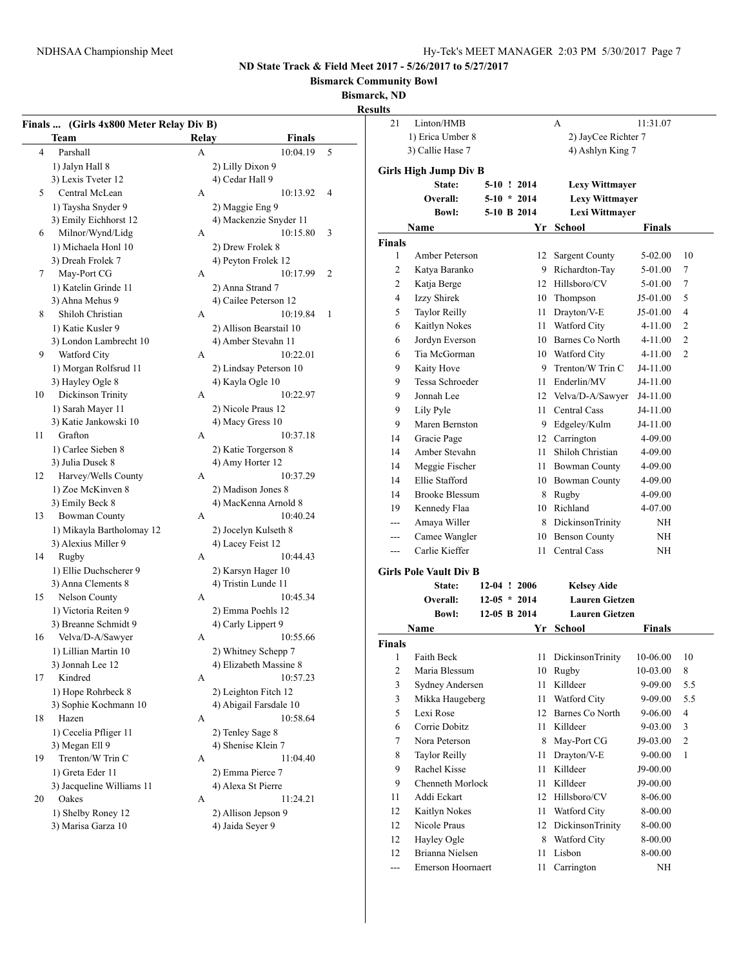**Bismarck Community Bowl**

## **Bismarck, ND**

**Resul** 

|                | Finals  (Girls 4x800 Meter Relay Div B) |       |                         |   |
|----------------|-----------------------------------------|-------|-------------------------|---|
|                | Team                                    | Relay | <b>Finals</b>           |   |
| $\overline{4}$ | Parshall                                | A     | 10:04.19                | 5 |
|                | 1) Jalyn Hall 8                         |       | 2) Lilly Dixon 9        |   |
|                | 3) Lexis Tveter 12                      |       | 4) Cedar Hall 9         |   |
| 5              | Central McLean                          | A     | 10:13.92                | 4 |
|                | 1) Taysha Snyder 9                      |       | 2) Maggie Eng 9         |   |
|                | 3) Emily Eichhorst 12                   |       | 4) Mackenzie Snyder 11  |   |
| 6              | Milnor/Wynd/Lidg                        | А     | 10:15.80                | 3 |
|                | 1) Michaela Honl 10                     |       | 2) Drew Frolek 8        |   |
|                | 3) Dreah Frolek 7                       |       | 4) Peyton Frolek 12     |   |
| 7              | May-Port CG                             | А     | 10:17.99                | 2 |
|                | 1) Katelin Grinde 11                    |       | 2) Anna Strand 7        |   |
|                | 3) Ahna Mehus 9                         |       | 4) Cailee Peterson 12   |   |
| 8              | Shiloh Christian                        | A     | 10:19.84                | 1 |
|                |                                         |       |                         |   |
|                | 1) Katie Kusler 9                       |       | 2) Allison Bearstail 10 |   |
|                | 3) London Lambrecht 10                  |       | 4) Amber Stevahn 11     |   |
| 9              | Watford City                            | А     | 10:22.01                |   |
|                | 1) Morgan Rolfsrud 11                   |       | 2) Lindsay Peterson 10  |   |
|                | 3) Hayley Ogle 8                        |       | 4) Kayla Ogle 10        |   |
| 10             | Dickinson Trinity                       | A     | 10:22.97                |   |
|                | 1) Sarah Mayer 11                       |       | 2) Nicole Praus 12      |   |
|                | 3) Katie Jankowski 10                   |       | 4) Macy Gress 10        |   |
| 11             | Grafton                                 | A     | 10:37.18                |   |
|                | 1) Carlee Sieben 8                      |       | 2) Katie Torgerson 8    |   |
|                | 3) Julia Dusek 8                        |       | 4) Amy Horter 12        |   |
| 12             | Harvey/Wells County                     | A     | 10:37.29                |   |
|                | 1) Zoe McKinven 8                       |       | 2) Madison Jones 8      |   |
|                | 3) Emily Beck 8                         |       | 4) MacKenna Arnold 8    |   |
| 13             | <b>Bowman County</b>                    | A     | 10:40.24                |   |
|                | 1) Mikayla Bartholomay 12               |       | 2) Jocelyn Kulseth 8    |   |
|                | 3) Alexius Miller 9                     |       | 4) Lacey Feist 12       |   |
| 14             | Rugby                                   | A     | 10:44.43                |   |
|                | 1) Ellie Duchscherer 9                  |       | 2) Karsyn Hager 10      |   |
|                | 3) Anna Clements 8                      |       | 4) Tristin Lunde 11     |   |
| 15             | Nelson County                           | A     | 10:45.34                |   |
|                | 1) Victoria Reiten 9                    |       | 2) Emma Poehls 12       |   |
|                | 3) Breanne Schmidt 9                    |       | 4) Carly Lippert 9      |   |
| 16             | Velva/D-A/Sawyer                        | А     | 10:55.66                |   |
|                | 1) Lillian Martin 10                    |       | 2) Whitney Schepp 7     |   |
|                | 3) Jonnah Lee 12                        |       | 4) Elizabeth Massine 8  |   |
| 17             | Kindred                                 | А     | 10:57.23                |   |
|                | 1) Hope Rohrbeck 8                      |       | 2) Leighton Fitch 12    |   |
|                | 3) Sophie Kochmann 10                   |       | 4) Abigail Farsdale 10  |   |
| 18             | Hazen                                   | A     | 10:58.64                |   |
|                | 1) Cecelia Pfliger 11                   |       | 2) Tenley Sage 8        |   |
|                | 3) Megan Ell 9                          |       | 4) Shenise Klein 7      |   |
| 19             | Trenton/W Trin C                        | A     | 11:04.40                |   |
|                | 1) Greta Eder 11                        |       | 2) Emma Pierce 7        |   |
|                | 3) Jacqueline Williams 11               |       | 4) Alexa St Pierre      |   |
| 20             | Oakes                                   | A     | 11:24.21                |   |
|                | 1) Shelby Roney 12                      |       | 2) Allison Jepson 9     |   |
|                | 3) Marisa Garza 10                      |       | 4) Jaida Seyer 9        |   |
|                |                                         |       |                         |   |

| ılts           |                               |                |               |                                       |          |                |
|----------------|-------------------------------|----------------|---------------|---------------------------------------|----------|----------------|
| 21             | Linton/HMB                    |                |               | A                                     | 11:31.07 |                |
|                | 1) Erica Umber 8              |                |               | 2) JayCee Richter 7                   |          |                |
|                | 3) Callie Hase 7              |                |               | 4) Ashlyn King 7                      |          |                |
|                | Girls High Jump Div B         |                |               |                                       |          |                |
|                | State:                        |                | 5-10 ! 2014   | <b>Lexy Wittmayer</b>                 |          |                |
|                | Overall:                      |                | $5-10 * 2014$ | <b>Lexy Wittmayer</b>                 |          |                |
|                | <b>Bowl:</b>                  |                | 5-10 B 2014   | Lexi Wittmayer                        |          |                |
|                | Name                          |                | Yr            | School                                | Finals   |                |
| <b>Finals</b>  |                               |                |               |                                       |          |                |
| 1              | Amber Peterson                |                | 12            | <b>Sargent County</b>                 | 5-02.00  | 10             |
| 2              | Katya Baranko                 |                | 9             | Richardton-Tay                        | 5-01.00  | 7              |
| 2              | Katja Berge                   |                |               | 12 Hillsboro/CV                       | 5-01.00  | 7              |
| 4              | <b>Izzy Shirek</b>            |                | 10            | Thompson                              | J5-01.00 | 5              |
| 5              | <b>Taylor Reilly</b>          |                | 11            | Drayton/V-E                           | J5-01.00 | $\overline{4}$ |
| 6              |                               |                | 11            | Watford City                          | 4-11.00  | 2              |
|                | Kaitlyn Nokes                 |                |               | 10 Barnes Co North                    |          | 2              |
| 6              | Jordyn Everson                |                |               |                                       | 4-11.00  |                |
| 6<br>9         | Tia McGorman                  |                |               | 10 Watford City<br>9 Trenton/W Trin C | 4-11.00  | $\overline{c}$ |
|                | Kaity Hove<br>Tessa Schroeder |                |               |                                       | J4-11.00 |                |
| 9              |                               |                | 11            | Enderlin/MV                           | J4-11.00 |                |
| 9              | Jonnah Lee                    |                |               | 12 Velva/D-A/Sawyer                   | J4-11.00 |                |
| 9              | Lily Pyle                     |                | 11            | Central Cass                          | J4-11.00 |                |
| 9              | Maren Bernston                |                |               | 9 Edgeley/Kulm                        | J4-11.00 |                |
| 14             | Gracie Page                   |                |               | 12 Carrington                         | 4-09.00  |                |
| 14             | Amber Stevahn                 |                | 11            | Shiloh Christian                      | 4-09.00  |                |
| 14             | Meggie Fischer                |                | 11            | <b>Bowman County</b>                  | 4-09.00  |                |
| 14             | Ellie Stafford                |                |               | 10 Bowman County                      | 4-09.00  |                |
| 14             | <b>Brooke Blessum</b>         |                |               | 8 Rugby                               | 4-09.00  |                |
| 19             | Kennedy Flaa                  |                |               | 10 Richland                           | 4-07.00  |                |
| ---            | Amaya Willer                  |                |               | 8 DickinsonTrinity                    | NΗ       |                |
| ---            | Camee Wangler                 |                | 10            | <b>Benson County</b>                  | NΗ       |                |
| ---            | Carlie Kieffer                |                | 11            | Central Cass                          | NΗ       |                |
|                | <b>Girls Pole Vault Div B</b> |                |               |                                       |          |                |
|                | State:                        | 12-04 ! 2006   |               | <b>Kelsey Aide</b>                    |          |                |
|                | Overall:                      | $12-05 * 2014$ |               | <b>Lauren Gietzen</b>                 |          |                |
|                | <b>Bowl:</b>                  | 12-05 B 2014   |               | <b>Lauren Gietzen</b>                 |          |                |
|                | Name                          |                | Yr            | School                                | Finals   |                |
| <b>Finals</b>  |                               |                |               |                                       |          |                |
| 1              | Faith Beck                    |                | 11            | DickinsonTrinity                      | 10-06.00 | 10             |
| $\overline{c}$ | Maria Blessum                 |                | 10            | Rugby                                 | 10-03.00 | 8              |
| 3              | Sydney Andersen               |                | 11            | Killdeer                              | 9-09.00  | 5.5            |
| 3              | Mikka Haugeberg               |                | 11            | Watford City                          | 9-09.00  | 5.5            |
| 5              | Lexi Rose                     |                | 12            | Barnes Co North                       | 9-06.00  | 4              |
| 6              | Corrie Dobitz                 |                | 11            | Killdeer                              | 9-03.00  | 3              |
| 7              | Nora Peterson                 |                | 8             | May-Port CG                           | J9-03.00 | 2              |
| 8              | <b>Taylor Reilly</b>          |                | 11            | Drayton/V-E                           | 9-00.00  | 1              |
| 9              | <b>Rachel Kisse</b>           |                | 11            | Killdeer                              | J9-00.00 |                |
| 9              | Chenneth Morlock              |                | 11            | Killdeer                              | J9-00.00 |                |
| 11             | Addi Eckart                   |                | 12            | Hillsboro/CV                          | 8-06.00  |                |
| 12             | Kaitlyn Nokes                 |                | 11            | Watford City                          | 8-00.00  |                |
| 12             | Nicole Praus                  |                | 12            | DickinsonTrinity                      | 8-00.00  |                |
| 12             | Hayley Ogle                   |                | 8             | Watford City                          | 8-00.00  |                |
| 12             | Brianna Nielsen               |                | 11            | Lisbon                                | 8-00.00  |                |
| ---            | <b>Emerson Hoornaert</b>      |                | 11            | Carrington                            | NΗ       |                |
|                |                               |                |               |                                       |          |                |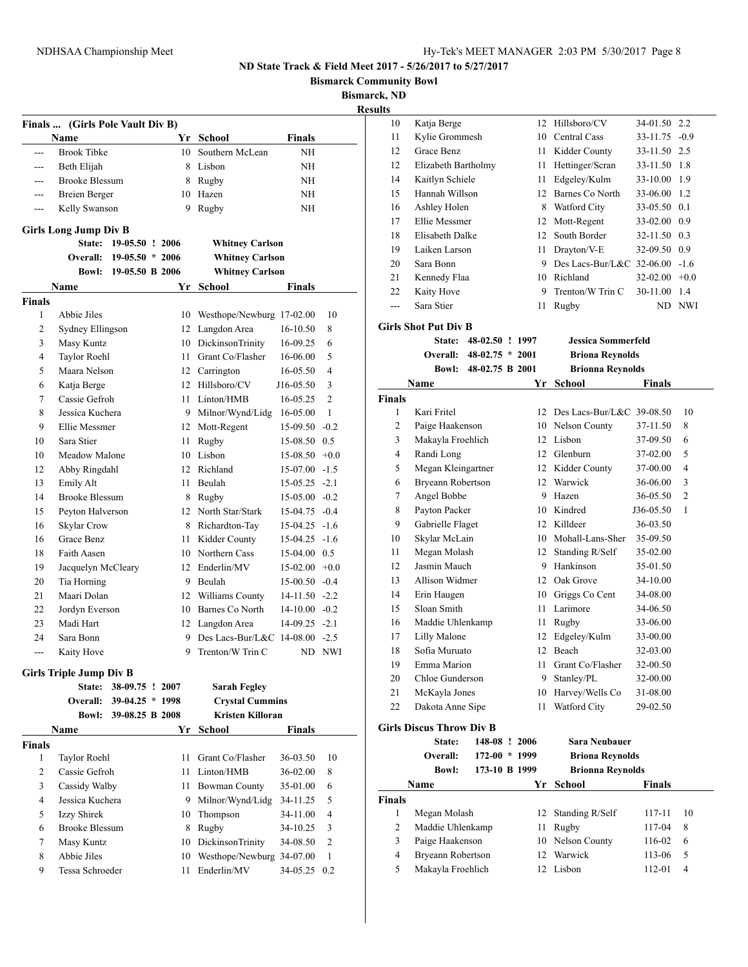**Bismarck Community Bowl**

**Bismarck, ND**

**Results**

|               | Finals  (Girls Pole Vault Div B) |                   |    |                              |                 |                      |
|---------------|----------------------------------|-------------------|----|------------------------------|-----------------|----------------------|
|               | Name                             |                   |    | Yr School                    | <b>Finals</b>   |                      |
|               | <b>Brook Tibke</b>               |                   | 10 | Southern McLean              | NΗ              |                      |
| ---           | Beth Elijah                      |                   |    | 8 Lisbon                     | NH              |                      |
| $---$         | <b>Brooke Blessum</b>            |                   |    | 8 Rugby                      | NΗ              |                      |
| ---           | <b>Breien Berger</b>             |                   |    | 10 Hazen                     | NΗ              |                      |
| ---           | Kelly Swanson                    |                   | 9  | Rugby                        | NΗ              |                      |
|               | <b>Girls Long Jump Div B</b>     |                   |    |                              |                 |                      |
|               | State:                           | 19-05.50 ! 2006   |    | <b>Whitney Carlson</b>       |                 |                      |
|               | Overall:                         | $19-05.50 * 2006$ |    | <b>Whitney Carlson</b>       |                 |                      |
|               | <b>Bowl:</b>                     | 19-05.50 B 2006   |    | <b>Whitney Carlson</b>       |                 |                      |
|               | Name                             |                   |    | Yr School                    | Finals          |                      |
| <b>Finals</b> |                                  |                   |    |                              |                 |                      |
| 1             | Abbie Jiles                      |                   |    | 10 Westhope/Newburg 17-02.00 |                 | 10                   |
| 2             | Sydney Ellingson                 |                   |    | 12 Langdon Area              | 16-10.50        | 8                    |
| 3             | Masy Kuntz                       |                   |    | 10 DickinsonTrinity          | 16-09.25        | 6                    |
| 4             | Taylor Roehl                     |                   |    | 11 Grant Co/Flasher          | 16-06.00        | 5                    |
| 5             | Maara Nelson                     |                   |    | 12 Carrington                | 16-05.50        | 4                    |
| 6             | Katja Berge                      |                   |    | 12 Hillsboro/CV              | J16-05.50       | 3                    |
| 7             | Cassie Gefroh                    |                   |    | 11 Linton/HMB                | 16-05.25        | $\overline{2}$       |
| 8             | Jessica Kuchera                  |                   |    | 9 Milnor/Wynd/Lidg           | 16-05.00        | $\mathbf{1}$         |
| 9             | Ellie Messmer                    |                   |    | 12 Mott-Regent               | 15-09.50        | $-0.2$               |
| 10            | Sara Stier                       |                   | 11 | Rugby                        | 15-08.50 0.5    |                      |
| 10            | Meadow Malone                    |                   |    | 10 Lisbon                    | 15-08.50        | $+0.0$               |
| 12            | Abby Ringdahl                    |                   |    | 12 Richland                  | $15-07.00 -1.5$ |                      |
| 13            | Emily Alt                        |                   | 11 | Beulah                       | $15-05.25 -2.1$ |                      |
| 14            | <b>Brooke Blessum</b>            |                   |    | 8 Rugby                      | $15-05.00 -0.2$ |                      |
| 15            | Peyton Halverson                 |                   |    | 12 North Star/Stark          | $15-04.75 -0.4$ |                      |
| 16            | Skylar Crow                      |                   |    | 8 Richardton-Tay             | $15-04.25 -1.6$ |                      |
| 16            | Grace Benz                       |                   |    | 11 Kidder County             | 15-04.25        | $-1.6$               |
| 18            | Faith Aasen                      |                   |    | 10 Northern Cass             | 15-04.00 0.5    |                      |
| 19            | Jacquelyn McCleary               |                   |    | 12 Enderlin/MV               | $15-02.00 +0.0$ |                      |
| 20            | Tia Horning                      |                   |    | 9 Beulah                     | $15-00.50 -0.4$ |                      |
| 21            | Maari Dolan                      |                   |    | 12 Williams County           | $14-11.50 -2.2$ |                      |
| 22            |                                  |                   |    | 10 Barnes Co North           | $14-10.00 -0.2$ |                      |
| 23            | Jordyn Everson<br>Madi Hart      |                   |    | 12 Langdon Area              | $14-09.25 -2.1$ |                      |
| 24            | Sara Bonn                        |                   |    | 9 Des Lacs-Bur/L&C           |                 |                      |
|               |                                  |                   | 9  | Trenton/W Trin C             | 14-08.00        | $-2.5$<br><b>NWI</b> |
| ---           | Kaity Hove                       |                   |    |                              | ND              |                      |
|               | <b>Girls Triple Jump Div B</b>   |                   |    |                              |                 |                      |
|               | State:                           | 38-09.75 ! 2007   |    | <b>Sarah Fegley</b>          |                 |                      |
|               | <b>Overall:</b>                  | 39-04.25 * 1998   |    | <b>Crystal Cummins</b>       |                 |                      |
|               | <b>Bowl:</b>                     | 39-08.25 B 2008   |    | <b>Kristen Killoran</b>      |                 |                      |
|               | Name                             |                   |    | Yr School                    | <b>Finals</b>   |                      |
| <b>Finals</b> |                                  |                   |    |                              |                 |                      |
| 1             | Taylor Roehl                     |                   | 11 | Grant Co/Flasher             | 36-03.50        | 10                   |
| 2             | Cassie Gefroh                    |                   | 11 | Linton/HMB                   | 36-02.00        | 8                    |
| 3             | Cassidy Walby                    |                   |    | 11 Bowman County             | 35-01.00        | 6                    |
| 4             | Jessica Kuchera                  |                   | 9. | Milnor/Wynd/Lidg             | 34-11.25        | 5                    |
| 5             | Izzy Shirek                      |                   | 10 | Thompson                     | 34-11.00        | 4                    |
| 6             | <b>Brooke Blessum</b>            |                   | 8  | Rugby                        | 34-10.25        | 3                    |
| 7             | Masy Kuntz                       |                   | 10 | <b>DickinsonTrinity</b>      | 34-08.50        | $\overline{2}$       |
| 8             | Abbie Jiles                      |                   | 10 | Westhope/Newburg 34-07.00    |                 | $\mathbf{1}$         |
| 9             | Tessa Schroeder                  |                   | 11 | Enderlin/MV                  | 34-05.25        | 0.2                  |
|               |                                  |                   |    |                              |                 |                      |

| 10            | Katja Berge                      |                   | 12 | Hillsboro/CV                 | 34-01.50      | 2.2        |
|---------------|----------------------------------|-------------------|----|------------------------------|---------------|------------|
| 11            | Kylie Grommesh                   |                   | 10 | Central Cass                 | 33-11.75      | $-0.9$     |
| 12            | Grace Benz                       |                   | 11 | Kidder County                | 33-11.50      | 2.5        |
| 12            | Elizabeth Bartholmy              |                   | 11 | Hettinger/Scran              | 33-11.50      | 1.8        |
| 14            | Kaitlyn Schiele                  |                   | 11 | Edgeley/Kulm                 | 33-10.00      | 1.9        |
| 15            | Hannah Willson                   |                   | 12 | Barnes Co North              | 33-06.00      | 1.2        |
| 16            | Ashley Holen                     |                   | 8  | Watford City                 | 33-05.50      | 0.1        |
| 17            | Ellie Messmer                    |                   | 12 | Mott-Regent                  | 33-02.00      | 0.9        |
| 18            | Elisabeth Dalke                  |                   | 12 | South Border                 | 32-11.50      | 0.3        |
| 19            | Laiken Larson                    |                   | 11 | Drayton/V-E                  | 32-09.50      | 0.9        |
| 20            | Sara Bonn                        |                   | 9  | Des Lacs-Bur/L&C 32-06.00    |               | $-1.6$     |
| 21            | Kennedy Flaa                     |                   | 10 | Richland                     | 32-02.00      | $+0.0$     |
| 22            | Kaity Hove                       |                   | 9  | Trenton/W Trin C             | 30-11.00      | 1.4        |
| ---           | Sara Stier                       |                   | 11 | Rugby                        | ND.           | <b>NWI</b> |
|               | <b>Girls Shot Put Div B</b>      |                   |    |                              |               |            |
|               | <b>State:</b>                    | 48-02.50 ! 1997   |    | <b>Jessica Sommerfeld</b>    |               |            |
|               | Overall:                         | $48-02.75 * 2001$ |    | <b>Briona Reynolds</b>       |               |            |
|               | <b>Bowl:</b>                     | 48-02.75 B 2001   |    | <b>Brionna Reynolds</b>      |               |            |
|               | Name                             |                   | Yr | School                       | <b>Finals</b> |            |
| <b>Finals</b> |                                  |                   |    |                              |               |            |
| 1             | Kari Fritel                      |                   | 12 | Des Lacs-Bur/L&C 39-08.50    |               | 10         |
| 2             | Paige Haakenson                  |                   | 10 | Nelson County                | 37-11.50      | 8          |
| 3             | Makayla Froehlich                |                   | 12 | Lisbon                       | 37-09.50      | 6          |
| 4             | Randi Long                       |                   | 12 | Glenburn                     | 37-02.00      | 5          |
| 5             | Megan Kleingartner               |                   | 12 | Kidder County                | 37-00.00      | 4          |
| 6             |                                  |                   | 12 | Warwick                      | 36-06.00      | 3          |
| 7             | Bryeann Robertson<br>Angel Bobbe |                   | 9  | Hazen                        | 36-05.50      | 2          |
| 8             | Payton Packer                    |                   | 10 | Kindred                      | J36-05.50     | 1          |
| 9             | Gabrielle Flaget                 |                   | 12 | Killdeer                     | 36-03.50      |            |
| 10            | Skylar McLain                    |                   | 10 | Mohall-Lans-Sher             | 35-09.50      |            |
| 11            | Megan Molash                     |                   | 12 |                              | 35-02.00      |            |
|               | Jasmin Mauch                     |                   | 9  | Standing R/Self<br>Hankinson |               |            |
| 12            | Allison Widmer                   |                   |    |                              | 35-01.50      |            |
| 13            |                                  |                   | 12 | Oak Grove                    | 34-10.00      |            |
| 14            | Erin Haugen                      |                   | 10 | Griggs Co Cent               | 34-08.00      |            |
| 15            | Sloan Smith                      |                   | 11 | Larimore                     | 34-06.50      |            |
| 16            | Maddie Uhlenkamp                 |                   | 11 | Rugby                        | 33-06.00      |            |
| 17            | Lilly Malone                     |                   | 12 | Edgeley/Kulm                 | 33-00.00      |            |
| 18            | Sofia Muruato                    |                   | 12 | Beach                        | 32-03.00      |            |
| 19            | Emma Marion                      |                   |    | 11 Grant Co/Flasher          | 32-00.50      |            |
| 20            | Chloe Gunderson                  |                   | 9  | Stanley/PL                   | 32-00.00      |            |
| 21            | McKayla Jones                    |                   | 10 | Harvey/Wells Co              | 31-08.00      |            |
| 22            | Dakota Anne Sipe                 |                   | 11 | Watford City                 | 29-02.50      |            |
|               | <b>Girls Discus Throw Div B</b>  |                   |    |                              |               |            |
|               | State:                           | 148-08 ! 2006     |    | Sara Neubauer                |               |            |
|               | Overall:                         | $172-00 * 1999$   |    | <b>Briona Reynolds</b>       |               |            |
|               | <b>Bowl:</b>                     | 173-10 B 1999     |    | <b>Brionna Reynolds</b>      |               |            |
|               | Name                             |                   | Yr | <b>School</b>                | Finals        |            |
| Finals        |                                  |                   |    |                              |               |            |
| 1             | Megan Molash                     |                   | 12 | Standing R/Self              | 117-11        | 10         |
| 2             | Maddie Uhlenkamp                 |                   | 11 | Rugby                        | 117-04        | 8          |
| 3             | Paige Haakenson                  |                   | 10 | Nelson County                | 116-02        | 6          |
| 4             | Bryeann Robertson                |                   | 12 | Warwick                      | 113-06        | 5          |
| 5             | Makayla Froehlich                |                   |    | 12 Lisbon                    | 112-01        | 4          |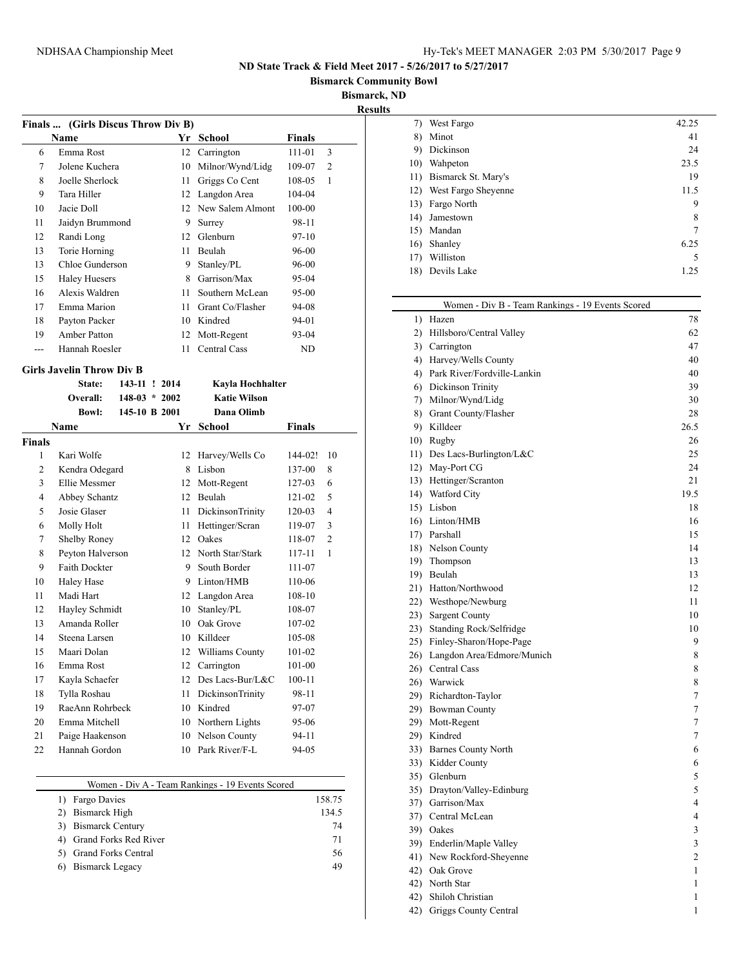**Bismarck Community Bowl**

**Bismarck, ND**

| 11 11<br>×. | TS. |
|-------------|-----|
|             |     |

|                | Finals  (Girls Discus Throw Div B) |                 |  |      |                     |            |                |  |
|----------------|------------------------------------|-----------------|--|------|---------------------|------------|----------------|--|
|                | <b>Name</b>                        |                 |  |      | Yr School           | Finals     |                |  |
| 6              | Emma Rost                          |                 |  |      | 12 Carrington       | 111-01     | 3              |  |
| $\overline{7}$ | Jolene Kuchera                     |                 |  |      | 10 Milnor/Wynd/Lidg | 109-07     | $\overline{2}$ |  |
| 8              | Joelle Sherlock                    |                 |  | 11 - | Griggs Co Cent      | 108-05     | 1              |  |
| 9              | Tara Hiller                        |                 |  |      | 12 Langdon Area     | 104-04     |                |  |
| 10             | Jacie Doll                         |                 |  |      | 12 New Salem Almont | 100-00     |                |  |
| 11             | Jaidyn Brummond                    |                 |  | 9    | Surrey              | 98-11      |                |  |
| 12             | Randi Long                         |                 |  |      | 12 Glenburn         | $97-10$    |                |  |
| 13             | Torie Horning                      |                 |  | 11   | Beulah              | 96-00      |                |  |
| 13             | Chloe Gunderson                    |                 |  | 9    | Stanley/PL          | 96-00      |                |  |
| 15             | <b>Haley Huesers</b>               |                 |  |      | 8 Garrison/Max      | 95-04      |                |  |
| 16             | Alexis Waldren                     |                 |  | 11   | Southern McLean     | 95-00      |                |  |
| 17             | Emma Marion                        |                 |  | 11   | Grant Co/Flasher    | 94-08      |                |  |
| 18             | Payton Packer                      |                 |  |      | 10 Kindred          | 94-01      |                |  |
| 19             | <b>Amber Patton</b>                |                 |  |      | 12 Mott-Regent      | 93-04      |                |  |
| $\overline{a}$ | Hannah Roesler                     |                 |  | 11   | <b>Central Cass</b> | <b>ND</b>  |                |  |
|                | <b>Girls Javelin Throw Div B</b>   |                 |  |      |                     |            |                |  |
|                | State:                             | 143-11 ! 2014   |  |      | Kayla Hochhalter    |            |                |  |
|                | Overall:                           | $148-03 * 2002$ |  |      | <b>Katie Wilson</b> |            |                |  |
|                | <b>Bowl:</b>                       | 145-10 B 2001   |  |      | Dana Olimb          |            |                |  |
|                | Name                               |                 |  |      | Yr School           | Finals     |                |  |
| <b>Finals</b>  |                                    |                 |  |      |                     |            |                |  |
| 1              | Kari Wolfe                         |                 |  | 12   | Harvey/Wells Co     | 144-02!    | 10             |  |
| 2              | Kendra Odegard                     |                 |  |      | 8 Lisbon            | 137-00     | 8              |  |
| 3              | Ellie Messmer                      |                 |  |      | 12 Mott-Regent      | 127-03     | 6              |  |
| $\overline{4}$ | Abbey Schantz                      |                 |  |      | 12 Beulah           | 121-02     | 5              |  |
| 5              | Josie Glaser                       |                 |  | 11   | DickinsonTrinity    | $120 - 03$ | $\overline{4}$ |  |
| 6              | Molly Holt                         |                 |  | 11   | Hettinger/Scran     | 119-07     | 3              |  |
| 7              | Shelby Roney                       |                 |  |      | 12 Oakes            | 118-07     | $\overline{c}$ |  |
| 8              | Peyton Halverson                   |                 |  |      | 12 North Star/Stark | 117-11     | $\mathbf{1}$   |  |
| 9              | Faith Dockter                      |                 |  | 9    | South Border        | 111-07     |                |  |
| 10             | <b>Haley Hase</b>                  |                 |  |      | 9 Linton/HMB        | 110-06     |                |  |
| 11             | Madi Hart                          |                 |  |      | 12 Langdon Area     | 108-10     |                |  |
| 12             | Hayley Schmidt                     |                 |  |      | 10 Stanley/PL       | 108-07     |                |  |
| 13             | Amanda Roller                      |                 |  |      | 10 Oak Grove        | 107-02     |                |  |
| 14             | Steena Larsen                      |                 |  |      | 10 Killdeer         | 105-08     |                |  |
| 15             | Maari Dolan                        |                 |  |      | 12 Williams County  | 101-02     |                |  |
| 16             | Emma Rost                          |                 |  |      | 12 Carrington       | 101-00     |                |  |
| 17             | Kayla Schaefer                     |                 |  |      | 12 Des Lacs-Bur/L&C | 100-11     |                |  |
| 18             | Tylla Roshau                       |                 |  | 11   | DickinsonTrinity    | 98-11      |                |  |
| 19             | RaeAnn Rohrbeck                    |                 |  |      | 10 Kindred          | 97-07      |                |  |
| 20             | Emma Mitchell                      |                 |  |      | 10 Northern Lights  | 95-06      |                |  |
| 21             | Paige Haakenson                    |                 |  |      | 10 Nelson County    | 94-11      |                |  |
| 22             | Hannah Gordon                      |                 |  |      | 10 Park River/F-L   | 94-05      |                |  |

| Women - Div A - Team Rankings - 19 Events Scored |        |
|--------------------------------------------------|--------|
| 1) Fargo Davies                                  | 158.75 |
| 2) Bismarck High                                 | 134.5  |
| 3) Bismarck Century                              | 74     |
| 4) Grand Forks Red River                         | 71     |
| 5) Grand Forks Central                           | 56     |
| Bismarck Legacy<br>6)                            | 49     |

 $\overline{\phantom{0}}$ 

| 7)  | West Fargo          | 42.25 |
|-----|---------------------|-------|
| 8)  | Minot               | 41    |
| 9)  | Dickinson           | 24    |
| 10) | Wahpeton            | 23.5  |
| 11) | Bismarck St. Mary's | 19    |
| 12) | West Fargo Sheyenne | 11.5  |
| 13) | Fargo North         | 9     |
| 14) | Jamestown           | 8     |
| 15) | Mandan              | 7     |
| 16) | Shanley             | 6.25  |
| 17) | Williston           | 5     |
| 18) | Devils Lake         | 1.25  |
|     |                     |       |

| Women - Div B - Team Rankings - 19 Events Scored |                |
|--------------------------------------------------|----------------|
| 1) Hazen                                         | 78             |
| 2) Hillsboro/Central Valley                      | 62             |
| 3) Carrington                                    | 47             |
| 4) Harvey/Wells County                           | 40             |
| 4) Park River/Fordville-Lankin                   | 40             |
| 6) Dickinson Trinity                             | 39             |
| 7) Milnor/Wynd/Lidg                              | 30             |
| 8) Grant County/Flasher                          | 28             |
| 9) Killdeer                                      | 26.5           |
| 10) Rugby                                        | 26             |
| 11) Des Lacs-Burlington/L&C                      | 25             |
| 12) May-Port CG                                  | 24             |
| 13) Hettinger/Scranton                           | 21             |
| 14) Watford City                                 | 19.5           |
| 15) Lisbon                                       | 18             |
| 16) Linton/HMB                                   | 16             |
| 17) Parshall                                     | 15             |
| 18) Nelson County                                | 14             |
| 19) Thompson                                     | 13             |
| 19) Beulah                                       | 13             |
| 21) Hatton/Northwood                             | 12             |
| 22) Westhope/Newburg                             | 11             |
| 23) Sargent County                               | 10             |
| 23) Standing Rock/Selfridge                      | 10             |
| 25) Finley-Sharon/Hope-Page                      | 9              |
| 26) Langdon Area/Edmore/Munich                   | 8              |
| 26) Central Cass                                 | 8              |
| 26) Warwick                                      | 8              |
| 29) Richardton-Taylor                            | 7              |
| 29) Bowman County                                | 7              |
| 29) Mott-Regent                                  | 7              |
| 29) Kindred                                      | 7              |
| 33) Barnes County North                          | 6              |
| 33) Kidder County                                | 6              |
| 35) Glenburn                                     | 5              |
| 35) Drayton/Valley-Edinburg                      | 5              |
| 37) Garrison/Max                                 | 4              |
| 37) Central McLean                               | $\overline{4}$ |
| 39) Oakes                                        | 3              |
| 39) Enderlin/Maple Valley                        | 3              |
| 41) New Rockford-Sheyenne                        | $\overline{c}$ |
| 42) Oak Grove                                    | $\mathbf{1}$   |
| 42) North Star                                   | 1              |
| 42) Shiloh Christian                             | 1              |
| 42) Griggs County Central                        | 1              |